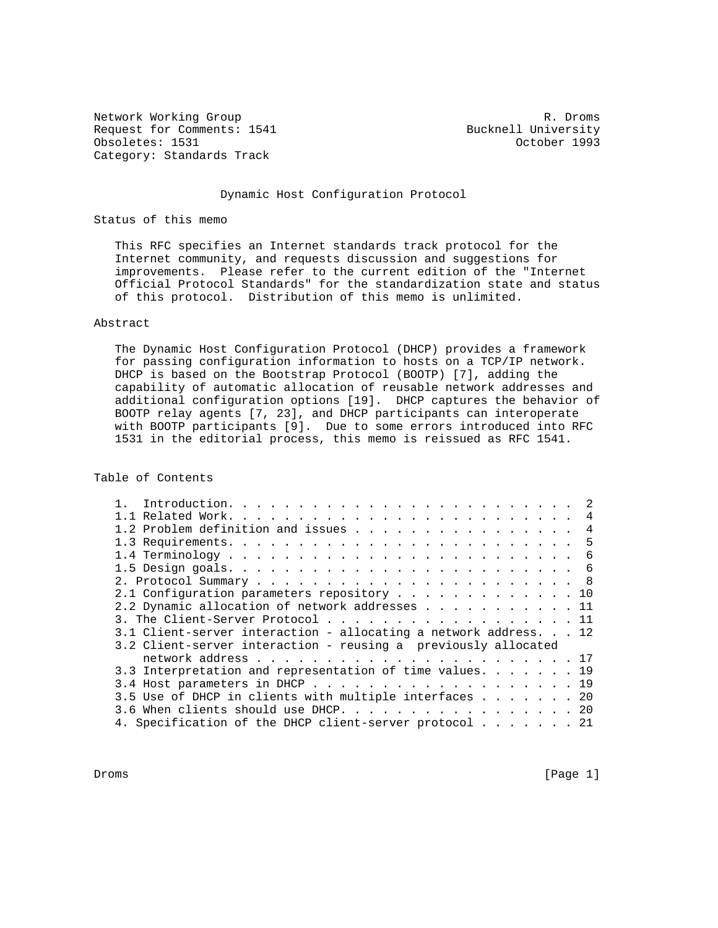Network Working Group and the set of the set of the set of the set of the set of the set of the set of the set of the set of the set of the set of the set of the set of the set of the set of the set of the set of the set o Request for Comments: 1541 Bucknell University Obsoletes: 1531 October 1993 Category: Standards Track

### Dynamic Host Configuration Protocol

Status of this memo

 This RFC specifies an Internet standards track protocol for the Internet community, and requests discussion and suggestions for improvements. Please refer to the current edition of the "Internet Official Protocol Standards" for the standardization state and status of this protocol. Distribution of this memo is unlimited.

### Abstract

 The Dynamic Host Configuration Protocol (DHCP) provides a framework for passing configuration information to hosts on a TCP/IP network. DHCP is based on the Bootstrap Protocol (BOOTP) [7], adding the capability of automatic allocation of reusable network addresses and additional configuration options [19]. DHCP captures the behavior of BOOTP relay agents [7, 23], and DHCP participants can interoperate with BOOTP participants [9]. Due to some errors introduced into RFC 1531 in the editorial process, this memo is reissued as RFC 1541.

## Table of Contents

|                                                                  | 4 |
|------------------------------------------------------------------|---|
| 1.2 Problem definition and issues                                | 4 |
|                                                                  |   |
|                                                                  |   |
|                                                                  |   |
|                                                                  |   |
| 2.1 Configuration parameters repository 10                       |   |
| 2.2 Dynamic allocation of network addresses 11                   |   |
| 3. The Client-Server Protocol 11                                 |   |
| 3.1 Client-server interaction - allocating a network address. 12 |   |
| 3.2 Client-server interaction - reusing a previously allocated   |   |
|                                                                  |   |
| 3.3 Interpretation and representation of time values. 19         |   |
|                                                                  |   |
| 3.5 Use of DHCP in clients with multiple interfaces 20           |   |
| 3.6 When clients should use DHCP. 20                             |   |
| 4. Specification of the DHCP client-server protocol 21           |   |

Droms [Page 1]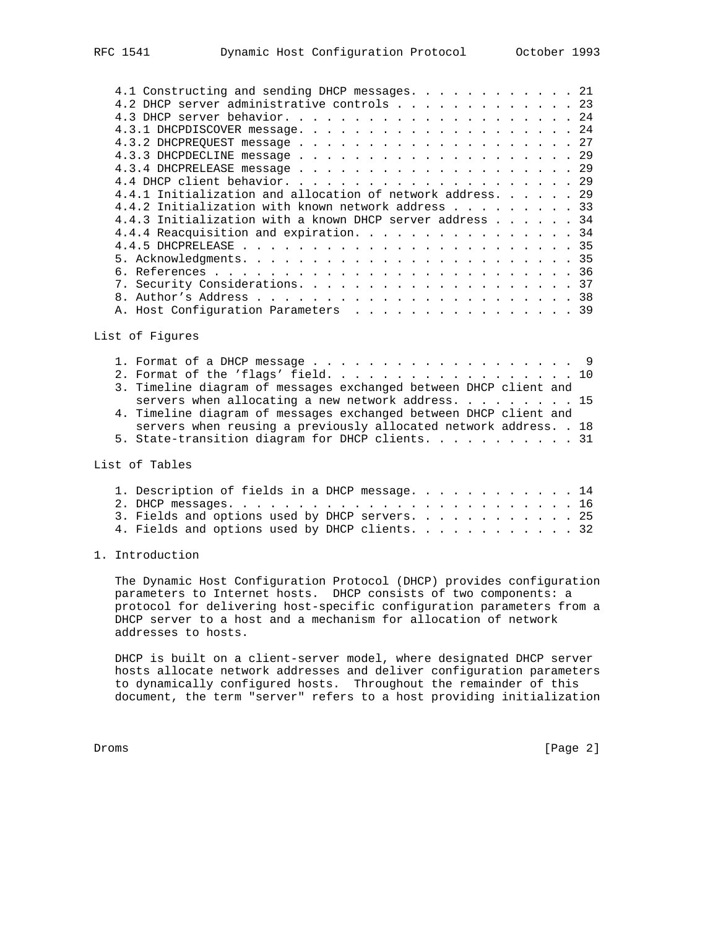| 4.4.1 Initialization and allocation of network address. 29 |  |  |  |
|------------------------------------------------------------|--|--|--|
| 4.4.2 Initialization with known network address 33         |  |  |  |
| 4.4.3 Initialization with a known DHCP server address 34   |  |  |  |
| 4.4.4 Reacquisition and expiration. 34                     |  |  |  |
|                                                            |  |  |  |
|                                                            |  |  |  |
|                                                            |  |  |  |
|                                                            |  |  |  |
|                                                            |  |  |  |
| A. Host Configuration Parameters 39                        |  |  |  |

List of Figures

|  | 2. Format of the 'flags' field. 10                                |
|--|-------------------------------------------------------------------|
|  | 3. Timeline diagram of messages exchanged between DHCP client and |
|  | servers when allocating a new network address. $\ldots$ 15        |
|  | 4. Timeline diagram of messages exchanged between DHCP client and |
|  | servers when reusing a previously allocated network address. . 18 |
|  | 5. State-transition diagram for DHCP clients. 31                  |
|  |                                                                   |

## List of Tables

| 1. Description of fields in a DHCP message. 14 |  |  |  |  |  |  |  |  |  |
|------------------------------------------------|--|--|--|--|--|--|--|--|--|
|                                                |  |  |  |  |  |  |  |  |  |
| 3. Fields and options used by DHCP servers. 25 |  |  |  |  |  |  |  |  |  |
| 4. Fields and options used by DHCP clients. 32 |  |  |  |  |  |  |  |  |  |

1. Introduction

 The Dynamic Host Configuration Protocol (DHCP) provides configuration parameters to Internet hosts. DHCP consists of two components: a protocol for delivering host-specific configuration parameters from a DHCP server to a host and a mechanism for allocation of network addresses to hosts.

 DHCP is built on a client-server model, where designated DHCP server hosts allocate network addresses and deliver configuration parameters to dynamically configured hosts. Throughout the remainder of this document, the term "server" refers to a host providing initialization

Droms [Page 2]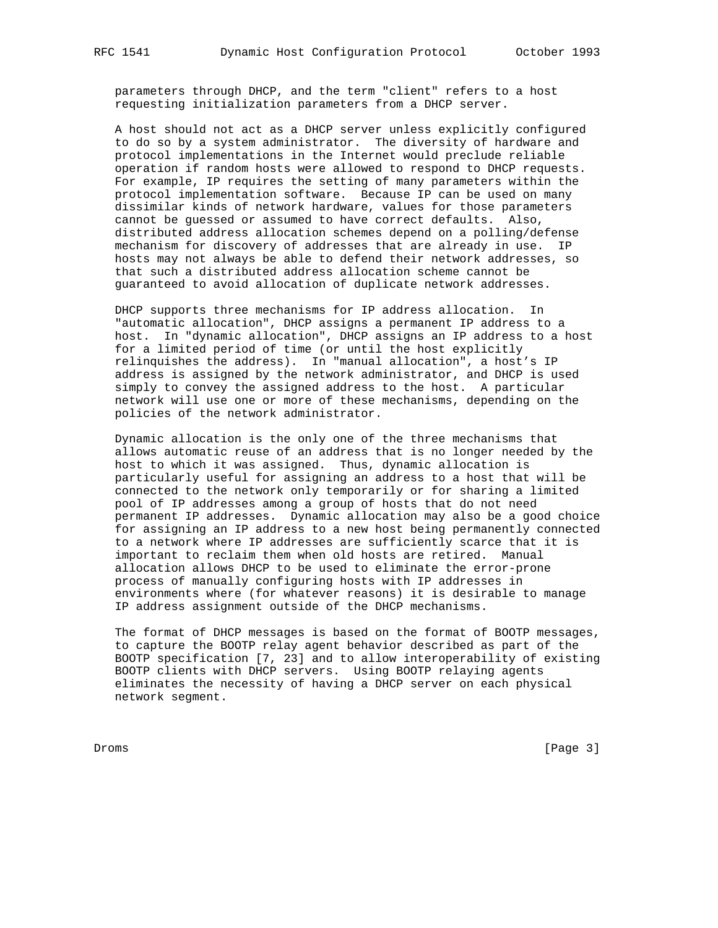parameters through DHCP, and the term "client" refers to a host requesting initialization parameters from a DHCP server.

 A host should not act as a DHCP server unless explicitly configured to do so by a system administrator. The diversity of hardware and protocol implementations in the Internet would preclude reliable operation if random hosts were allowed to respond to DHCP requests. For example, IP requires the setting of many parameters within the protocol implementation software. Because IP can be used on many dissimilar kinds of network hardware, values for those parameters cannot be guessed or assumed to have correct defaults. Also, distributed address allocation schemes depend on a polling/defense mechanism for discovery of addresses that are already in use. IP hosts may not always be able to defend their network addresses, so that such a distributed address allocation scheme cannot be guaranteed to avoid allocation of duplicate network addresses.

 DHCP supports three mechanisms for IP address allocation. In "automatic allocation", DHCP assigns a permanent IP address to a host. In "dynamic allocation", DHCP assigns an IP address to a host for a limited period of time (or until the host explicitly relinquishes the address). In "manual allocation", a host's IP address is assigned by the network administrator, and DHCP is used simply to convey the assigned address to the host. A particular network will use one or more of these mechanisms, depending on the policies of the network administrator.

 Dynamic allocation is the only one of the three mechanisms that allows automatic reuse of an address that is no longer needed by the host to which it was assigned. Thus, dynamic allocation is particularly useful for assigning an address to a host that will be connected to the network only temporarily or for sharing a limited pool of IP addresses among a group of hosts that do not need permanent IP addresses. Dynamic allocation may also be a good choice for assigning an IP address to a new host being permanently connected to a network where IP addresses are sufficiently scarce that it is important to reclaim them when old hosts are retired. Manual allocation allows DHCP to be used to eliminate the error-prone process of manually configuring hosts with IP addresses in environments where (for whatever reasons) it is desirable to manage IP address assignment outside of the DHCP mechanisms.

 The format of DHCP messages is based on the format of BOOTP messages, to capture the BOOTP relay agent behavior described as part of the BOOTP specification [7, 23] and to allow interoperability of existing BOOTP clients with DHCP servers. Using BOOTP relaying agents eliminates the necessity of having a DHCP server on each physical network segment.

Droms [Page 3]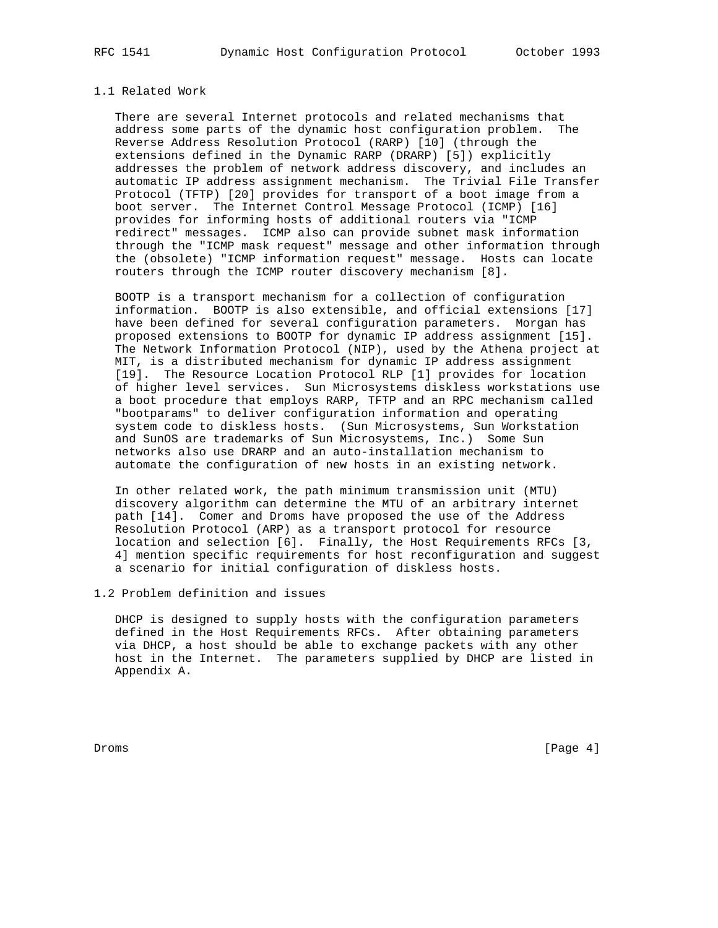### 1.1 Related Work

 There are several Internet protocols and related mechanisms that address some parts of the dynamic host configuration problem. The Reverse Address Resolution Protocol (RARP) [10] (through the extensions defined in the Dynamic RARP (DRARP) [5]) explicitly addresses the problem of network address discovery, and includes an automatic IP address assignment mechanism. The Trivial File Transfer Protocol (TFTP) [20] provides for transport of a boot image from a boot server. The Internet Control Message Protocol (ICMP) [16] provides for informing hosts of additional routers via "ICMP redirect" messages. ICMP also can provide subnet mask information through the "ICMP mask request" message and other information through the (obsolete) "ICMP information request" message. Hosts can locate routers through the ICMP router discovery mechanism [8].

 BOOTP is a transport mechanism for a collection of configuration information. BOOTP is also extensible, and official extensions [17] have been defined for several configuration parameters. Morgan has proposed extensions to BOOTP for dynamic IP address assignment [15]. The Network Information Protocol (NIP), used by the Athena project at MIT, is a distributed mechanism for dynamic IP address assignment [19]. The Resource Location Protocol RLP [1] provides for location of higher level services. Sun Microsystems diskless workstations use a boot procedure that employs RARP, TFTP and an RPC mechanism called "bootparams" to deliver configuration information and operating system code to diskless hosts. (Sun Microsystems, Sun Workstation and SunOS are trademarks of Sun Microsystems, Inc.) Some Sun networks also use DRARP and an auto-installation mechanism to automate the configuration of new hosts in an existing network.

 In other related work, the path minimum transmission unit (MTU) discovery algorithm can determine the MTU of an arbitrary internet path [14]. Comer and Droms have proposed the use of the Address Resolution Protocol (ARP) as a transport protocol for resource location and selection [6]. Finally, the Host Requirements RFCs [3, 4] mention specific requirements for host reconfiguration and suggest a scenario for initial configuration of diskless hosts.

1.2 Problem definition and issues

 DHCP is designed to supply hosts with the configuration parameters defined in the Host Requirements RFCs. After obtaining parameters via DHCP, a host should be able to exchange packets with any other host in the Internet. The parameters supplied by DHCP are listed in Appendix A.

Droms [Page 4]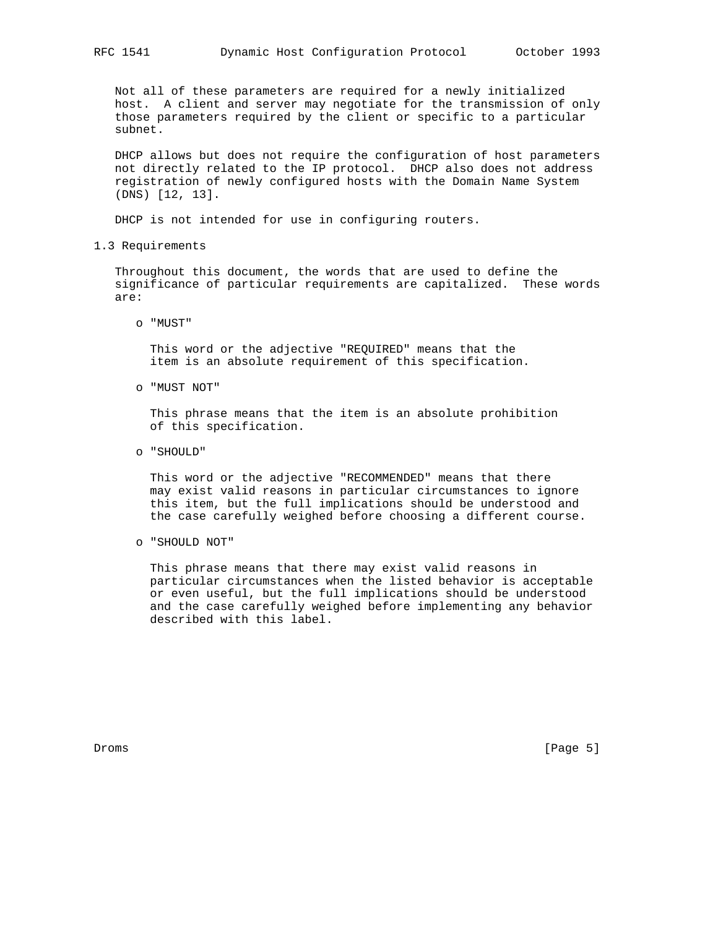Not all of these parameters are required for a newly initialized host. A client and server may negotiate for the transmission of only those parameters required by the client or specific to a particular subnet.

 DHCP allows but does not require the configuration of host parameters not directly related to the IP protocol. DHCP also does not address registration of newly configured hosts with the Domain Name System (DNS) [12, 13].

DHCP is not intended for use in configuring routers.

1.3 Requirements

 Throughout this document, the words that are used to define the significance of particular requirements are capitalized. These words are:

o "MUST"

 This word or the adjective "REQUIRED" means that the item is an absolute requirement of this specification.

o "MUST NOT"

 This phrase means that the item is an absolute prohibition of this specification.

o "SHOULD"

 This word or the adjective "RECOMMENDED" means that there may exist valid reasons in particular circumstances to ignore this item, but the full implications should be understood and the case carefully weighed before choosing a different course.

o "SHOULD NOT"

 This phrase means that there may exist valid reasons in particular circumstances when the listed behavior is acceptable or even useful, but the full implications should be understood and the case carefully weighed before implementing any behavior described with this label.

Droms [Page 5]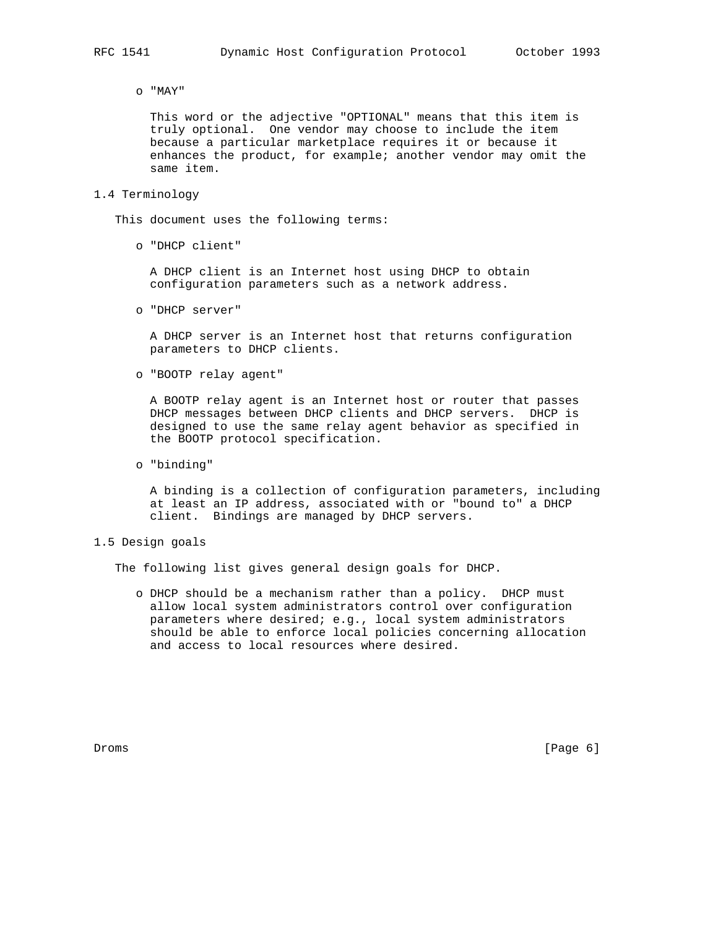o "MAY"

 This word or the adjective "OPTIONAL" means that this item is truly optional. One vendor may choose to include the item because a particular marketplace requires it or because it enhances the product, for example; another vendor may omit the same item.

#### 1.4 Terminology

This document uses the following terms:

o "DHCP client"

 A DHCP client is an Internet host using DHCP to obtain configuration parameters such as a network address.

o "DHCP server"

 A DHCP server is an Internet host that returns configuration parameters to DHCP clients.

o "BOOTP relay agent"

 A BOOTP relay agent is an Internet host or router that passes DHCP messages between DHCP clients and DHCP servers. DHCP is designed to use the same relay agent behavior as specified in the BOOTP protocol specification.

o "binding"

 A binding is a collection of configuration parameters, including at least an IP address, associated with or "bound to" a DHCP client. Bindings are managed by DHCP servers.

1.5 Design goals

The following list gives general design goals for DHCP.

 o DHCP should be a mechanism rather than a policy. DHCP must allow local system administrators control over configuration parameters where desired; e.g., local system administrators should be able to enforce local policies concerning allocation and access to local resources where desired.

Droms [Page 6]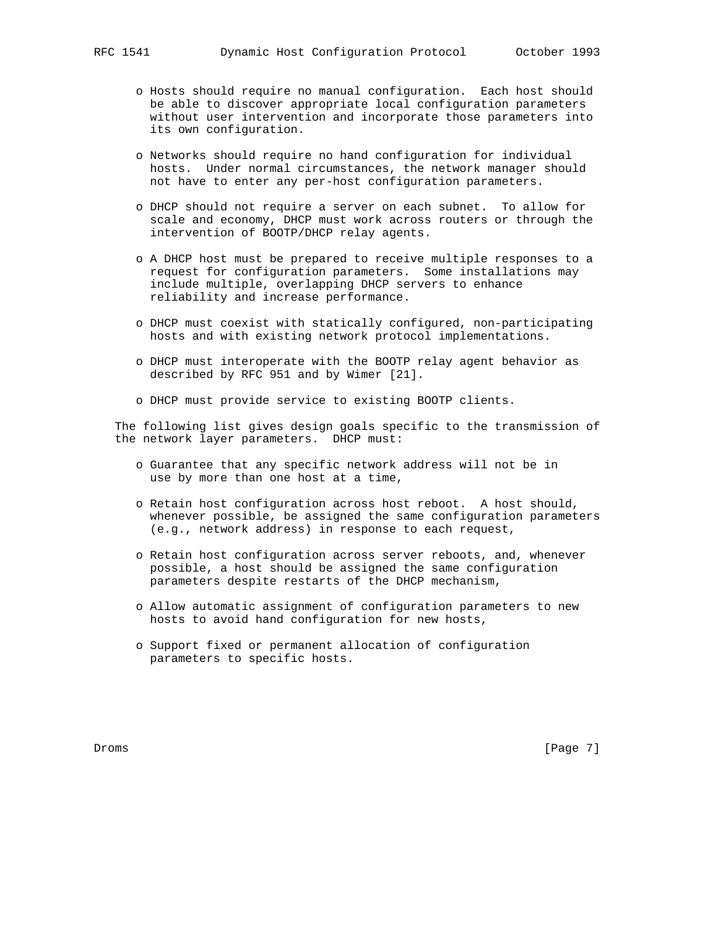- o Hosts should require no manual configuration. Each host should be able to discover appropriate local configuration parameters without user intervention and incorporate those parameters into its own configuration.
- o Networks should require no hand configuration for individual hosts. Under normal circumstances, the network manager should not have to enter any per-host configuration parameters.
- o DHCP should not require a server on each subnet. To allow for scale and economy, DHCP must work across routers or through the intervention of BOOTP/DHCP relay agents.
- o A DHCP host must be prepared to receive multiple responses to a request for configuration parameters. Some installations may include multiple, overlapping DHCP servers to enhance reliability and increase performance.
- o DHCP must coexist with statically configured, non-participating hosts and with existing network protocol implementations.
- o DHCP must interoperate with the BOOTP relay agent behavior as described by RFC 951 and by Wimer [21].
- o DHCP must provide service to existing BOOTP clients.

 The following list gives design goals specific to the transmission of the network layer parameters. DHCP must:

- o Guarantee that any specific network address will not be in use by more than one host at a time,
- o Retain host configuration across host reboot. A host should, whenever possible, be assigned the same configuration parameters (e.g., network address) in response to each request,
- o Retain host configuration across server reboots, and, whenever possible, a host should be assigned the same configuration parameters despite restarts of the DHCP mechanism,
- o Allow automatic assignment of configuration parameters to new hosts to avoid hand configuration for new hosts,
- o Support fixed or permanent allocation of configuration parameters to specific hosts.

Droms [Page 7]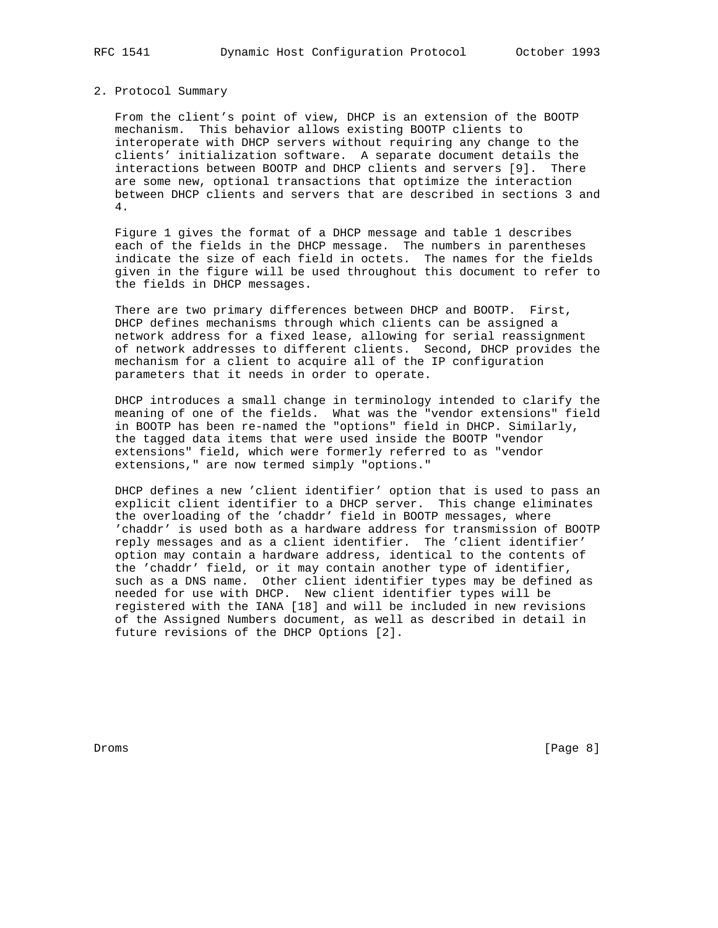### 2. Protocol Summary

 From the client's point of view, DHCP is an extension of the BOOTP mechanism. This behavior allows existing BOOTP clients to interoperate with DHCP servers without requiring any change to the clients' initialization software. A separate document details the interactions between BOOTP and DHCP clients and servers [9]. There are some new, optional transactions that optimize the interaction between DHCP clients and servers that are described in sections 3 and 4.

 Figure 1 gives the format of a DHCP message and table 1 describes each of the fields in the DHCP message. The numbers in parentheses indicate the size of each field in octets. The names for the fields given in the figure will be used throughout this document to refer to the fields in DHCP messages.

 There are two primary differences between DHCP and BOOTP. First, DHCP defines mechanisms through which clients can be assigned a network address for a fixed lease, allowing for serial reassignment of network addresses to different clients. Second, DHCP provides the mechanism for a client to acquire all of the IP configuration parameters that it needs in order to operate.

 DHCP introduces a small change in terminology intended to clarify the meaning of one of the fields. What was the "vendor extensions" field in BOOTP has been re-named the "options" field in DHCP. Similarly, the tagged data items that were used inside the BOOTP "vendor extensions" field, which were formerly referred to as "vendor extensions," are now termed simply "options."

 DHCP defines a new 'client identifier' option that is used to pass an explicit client identifier to a DHCP server. This change eliminates the overloading of the 'chaddr' field in BOOTP messages, where 'chaddr' is used both as a hardware address for transmission of BOOTP reply messages and as a client identifier. The 'client identifier' option may contain a hardware address, identical to the contents of the 'chaddr' field, or it may contain another type of identifier, such as a DNS name. Other client identifier types may be defined as needed for use with DHCP. New client identifier types will be registered with the IANA [18] and will be included in new revisions of the Assigned Numbers document, as well as described in detail in future revisions of the DHCP Options [2].

Droms [Page 8]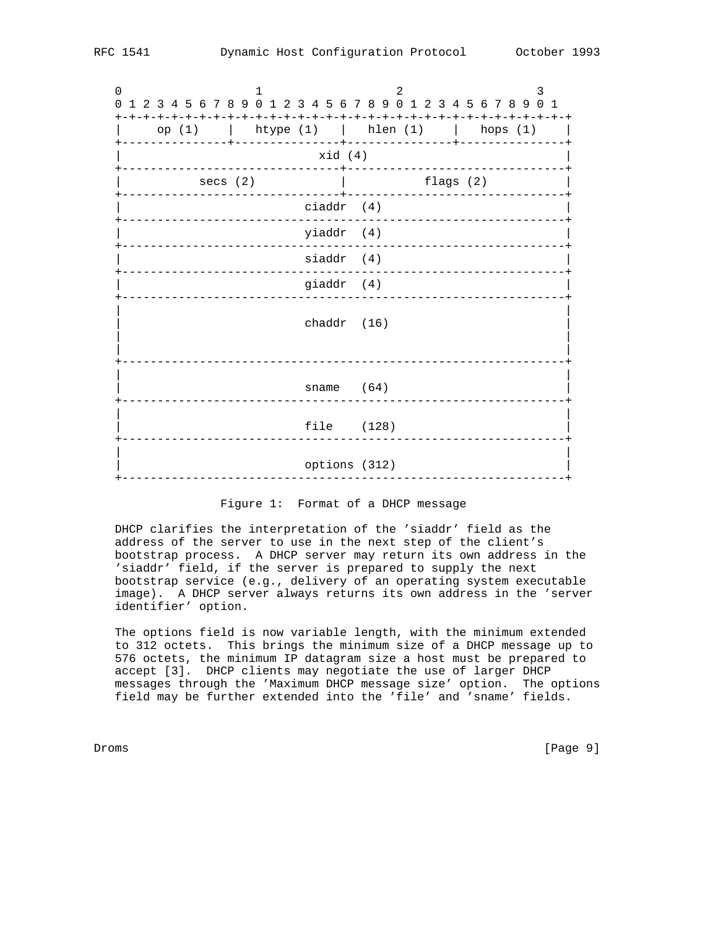| $\Omega$<br>1 2 3 4 5 6 7 8 9 0 1 2 3 4 5 6 7 8 9 0 1 2 3 4 5 6 7 8 9 0 1<br>$\cap$ |                                                  | 2         |                           |
|-------------------------------------------------------------------------------------|--------------------------------------------------|-----------|---------------------------|
|                                                                                     |                                                  |           |                           |
|                                                                                     | xid (4)                                          |           |                           |
| secs (2)                                                                            |                                                  | flags (2) |                           |
|                                                                                     | ciaddr (4)<br>---------------------------------- |           | _________________________ |
|                                                                                     | yiaddr (4)                                       |           |                           |
|                                                                                     | siaddr (4)                                       |           |                           |
|                                                                                     | giaddr (4)                                       |           |                           |
|                                                                                     | $chaddr$ $(16)$                                  |           |                           |
|                                                                                     | sname $(64)$                                     |           |                           |
|                                                                                     | $file$ $(128)$                                   |           |                           |
|                                                                                     | options (312)                                    |           |                           |

Figure 1: Format of a DHCP message

+---------------------------------------------------------------+

 DHCP clarifies the interpretation of the 'siaddr' field as the address of the server to use in the next step of the client's bootstrap process. A DHCP server may return its own address in the 'siaddr' field, if the server is prepared to supply the next bootstrap service (e.g., delivery of an operating system executable image). A DHCP server always returns its own address in the 'server identifier' option.

 The options field is now variable length, with the minimum extended to 312 octets. This brings the minimum size of a DHCP message up to 576 octets, the minimum IP datagram size a host must be prepared to accept [3]. DHCP clients may negotiate the use of larger DHCP messages through the 'Maximum DHCP message size' option. The options field may be further extended into the 'file' and 'sname' fields.

Droms [Page 9]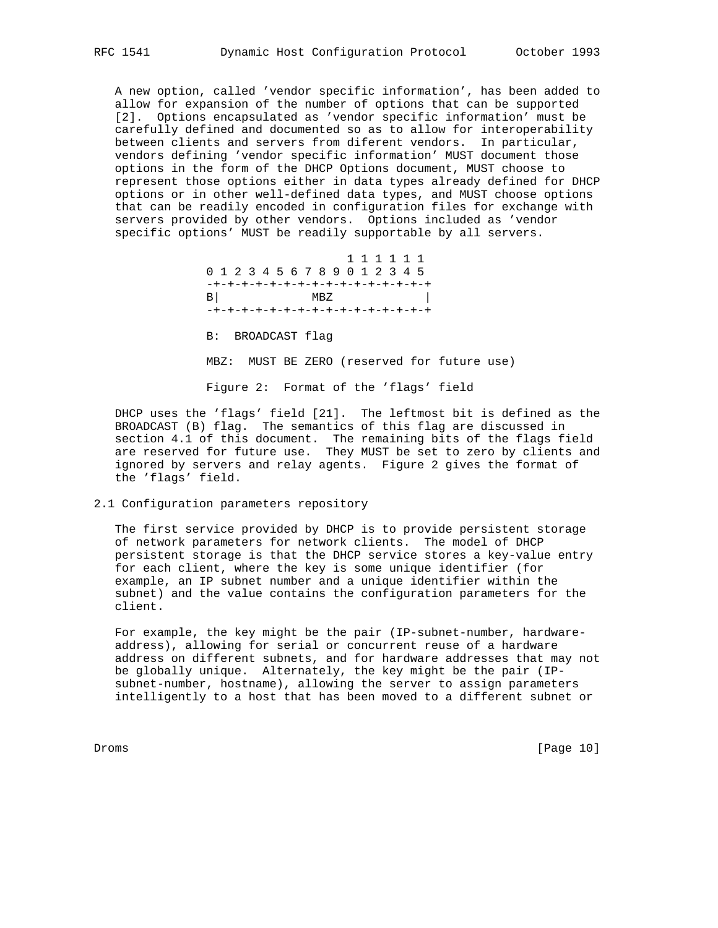A new option, called 'vendor specific information', has been added to allow for expansion of the number of options that can be supported [2]. Options encapsulated as 'vendor specific information' must be carefully defined and documented so as to allow for interoperability between clients and servers from diferent vendors. In particular, vendors defining 'vendor specific information' MUST document those options in the form of the DHCP Options document, MUST choose to represent those options either in data types already defined for DHCP options or in other well-defined data types, and MUST choose options that can be readily encoded in configuration files for exchange with servers provided by other vendors. Options included as 'vendor specific options' MUST be readily supportable by all servers.

> 1 1 1 1 1 1 0 1 2 3 4 5 6 7 8 9 0 1 2 3 4 5 -+-+-+-+-+-+-+-+-+-+-+-+-+-+-+-+  $\mathbf{B}$  | MBZ -+-+-+-+-+-+-+-+-+-+-+-+-+-+-+-+ B: BROADCAST flag MBZ: MUST BE ZERO (reserved for future use) Figure 2: Format of the 'flags' field

 DHCP uses the 'flags' field [21]. The leftmost bit is defined as the BROADCAST (B) flag. The semantics of this flag are discussed in section 4.1 of this document. The remaining bits of the flags field are reserved for future use. They MUST be set to zero by clients and ignored by servers and relay agents. Figure 2 gives the format of the 'flags' field.

### 2.1 Configuration parameters repository

 The first service provided by DHCP is to provide persistent storage of network parameters for network clients. The model of DHCP persistent storage is that the DHCP service stores a key-value entry for each client, where the key is some unique identifier (for example, an IP subnet number and a unique identifier within the subnet) and the value contains the configuration parameters for the client.

 For example, the key might be the pair (IP-subnet-number, hardware address), allowing for serial or concurrent reuse of a hardware address on different subnets, and for hardware addresses that may not be globally unique. Alternately, the key might be the pair (IP subnet-number, hostname), allowing the server to assign parameters intelligently to a host that has been moved to a different subnet or

Droms [Page 10]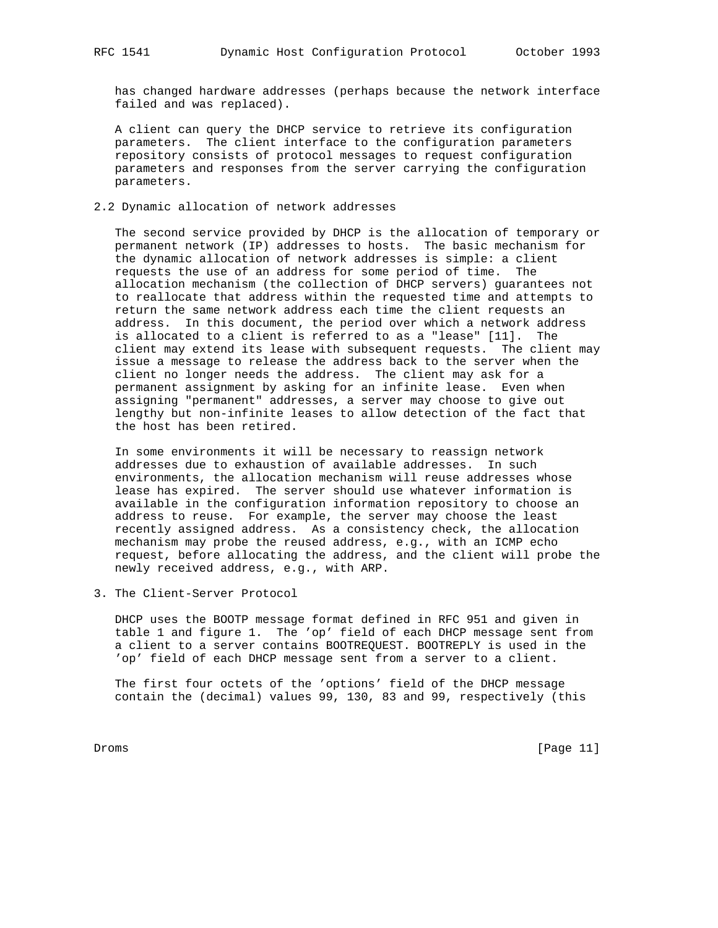has changed hardware addresses (perhaps because the network interface failed and was replaced).

 A client can query the DHCP service to retrieve its configuration parameters. The client interface to the configuration parameters repository consists of protocol messages to request configuration parameters and responses from the server carrying the configuration parameters.

### 2.2 Dynamic allocation of network addresses

 The second service provided by DHCP is the allocation of temporary or permanent network (IP) addresses to hosts. The basic mechanism for the dynamic allocation of network addresses is simple: a client requests the use of an address for some period of time. The allocation mechanism (the collection of DHCP servers) guarantees not to reallocate that address within the requested time and attempts to return the same network address each time the client requests an address. In this document, the period over which a network address is allocated to a client is referred to as a "lease" [11]. The client may extend its lease with subsequent requests. The client may issue a message to release the address back to the server when the client no longer needs the address. The client may ask for a permanent assignment by asking for an infinite lease. Even when assigning "permanent" addresses, a server may choose to give out lengthy but non-infinite leases to allow detection of the fact that the host has been retired.

 In some environments it will be necessary to reassign network addresses due to exhaustion of available addresses. In such environments, the allocation mechanism will reuse addresses whose lease has expired. The server should use whatever information is available in the configuration information repository to choose an address to reuse. For example, the server may choose the least recently assigned address. As a consistency check, the allocation mechanism may probe the reused address, e.g., with an ICMP echo request, before allocating the address, and the client will probe the newly received address, e.g., with ARP.

3. The Client-Server Protocol

 DHCP uses the BOOTP message format defined in RFC 951 and given in table 1 and figure 1. The 'op' field of each DHCP message sent from a client to a server contains BOOTREQUEST. BOOTREPLY is used in the 'op' field of each DHCP message sent from a server to a client.

 The first four octets of the 'options' field of the DHCP message contain the (decimal) values 99, 130, 83 and 99, respectively (this

Droms [Page 11]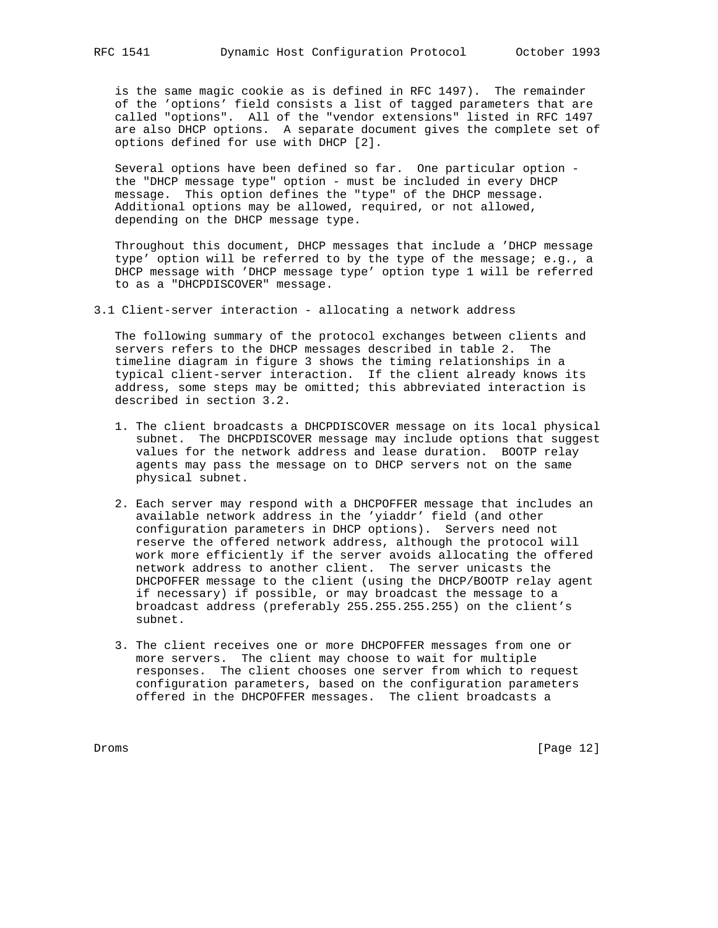is the same magic cookie as is defined in RFC 1497). The remainder of the 'options' field consists a list of tagged parameters that are called "options". All of the "vendor extensions" listed in RFC 1497 are also DHCP options. A separate document gives the complete set of options defined for use with DHCP [2].

 Several options have been defined so far. One particular option the "DHCP message type" option - must be included in every DHCP message. This option defines the "type" of the DHCP message. Additional options may be allowed, required, or not allowed, depending on the DHCP message type.

 Throughout this document, DHCP messages that include a 'DHCP message type' option will be referred to by the type of the message; e.g., a DHCP message with 'DHCP message type' option type 1 will be referred to as a "DHCPDISCOVER" message.

3.1 Client-server interaction - allocating a network address

 The following summary of the protocol exchanges between clients and servers refers to the DHCP messages described in table 2. The timeline diagram in figure 3 shows the timing relationships in a typical client-server interaction. If the client already knows its address, some steps may be omitted; this abbreviated interaction is described in section 3.2.

- 1. The client broadcasts a DHCPDISCOVER message on its local physical subnet. The DHCPDISCOVER message may include options that suggest values for the network address and lease duration. BOOTP relay agents may pass the message on to DHCP servers not on the same physical subnet.
- 2. Each server may respond with a DHCPOFFER message that includes an available network address in the 'yiaddr' field (and other configuration parameters in DHCP options). Servers need not reserve the offered network address, although the protocol will work more efficiently if the server avoids allocating the offered network address to another client. The server unicasts the DHCPOFFER message to the client (using the DHCP/BOOTP relay agent if necessary) if possible, or may broadcast the message to a broadcast address (preferably 255.255.255.255) on the client's subnet.
- 3. The client receives one or more DHCPOFFER messages from one or more servers. The client may choose to wait for multiple responses. The client chooses one server from which to request configuration parameters, based on the configuration parameters offered in the DHCPOFFER messages. The client broadcasts a

Droms [Page 12]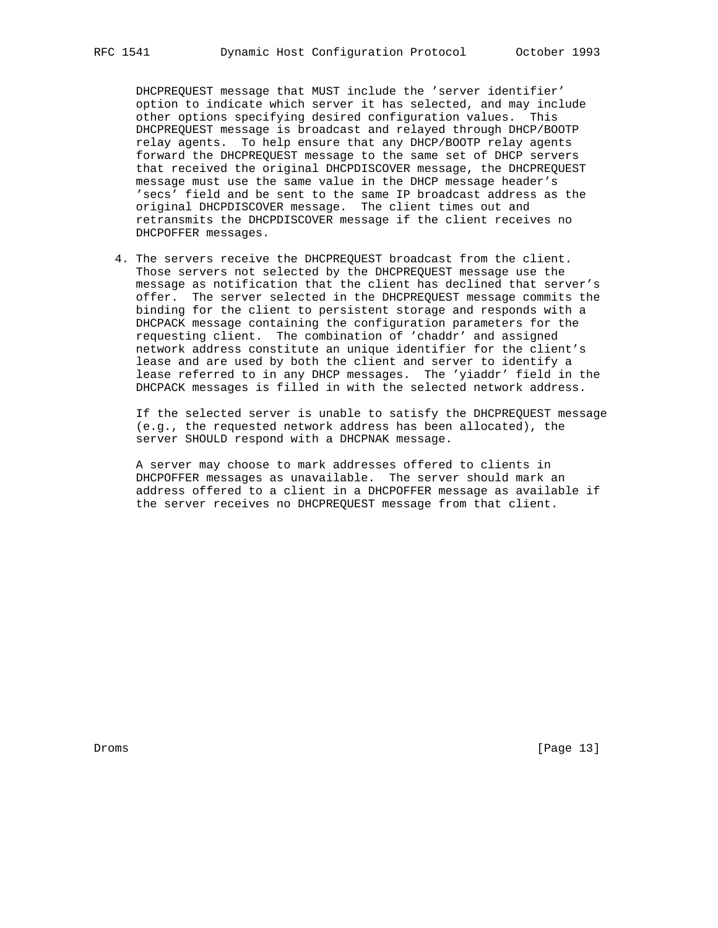DHCPREQUEST message that MUST include the 'server identifier' option to indicate which server it has selected, and may include other options specifying desired configuration values. This DHCPREQUEST message is broadcast and relayed through DHCP/BOOTP relay agents. To help ensure that any DHCP/BOOTP relay agents forward the DHCPREQUEST message to the same set of DHCP servers that received the original DHCPDISCOVER message, the DHCPREQUEST message must use the same value in the DHCP message header's 'secs' field and be sent to the same IP broadcast address as the original DHCPDISCOVER message. The client times out and retransmits the DHCPDISCOVER message if the client receives no DHCPOFFER messages.

 4. The servers receive the DHCPREQUEST broadcast from the client. Those servers not selected by the DHCPREQUEST message use the message as notification that the client has declined that server's offer. The server selected in the DHCPREQUEST message commits the binding for the client to persistent storage and responds with a DHCPACK message containing the configuration parameters for the requesting client. The combination of 'chaddr' and assigned network address constitute an unique identifier for the client's lease and are used by both the client and server to identify a lease referred to in any DHCP messages. The 'yiaddr' field in the DHCPACK messages is filled in with the selected network address.

 If the selected server is unable to satisfy the DHCPREQUEST message (e.g., the requested network address has been allocated), the server SHOULD respond with a DHCPNAK message.

 A server may choose to mark addresses offered to clients in DHCPOFFER messages as unavailable. The server should mark an address offered to a client in a DHCPOFFER message as available if the server receives no DHCPREQUEST message from that client.

Droms [Page 13]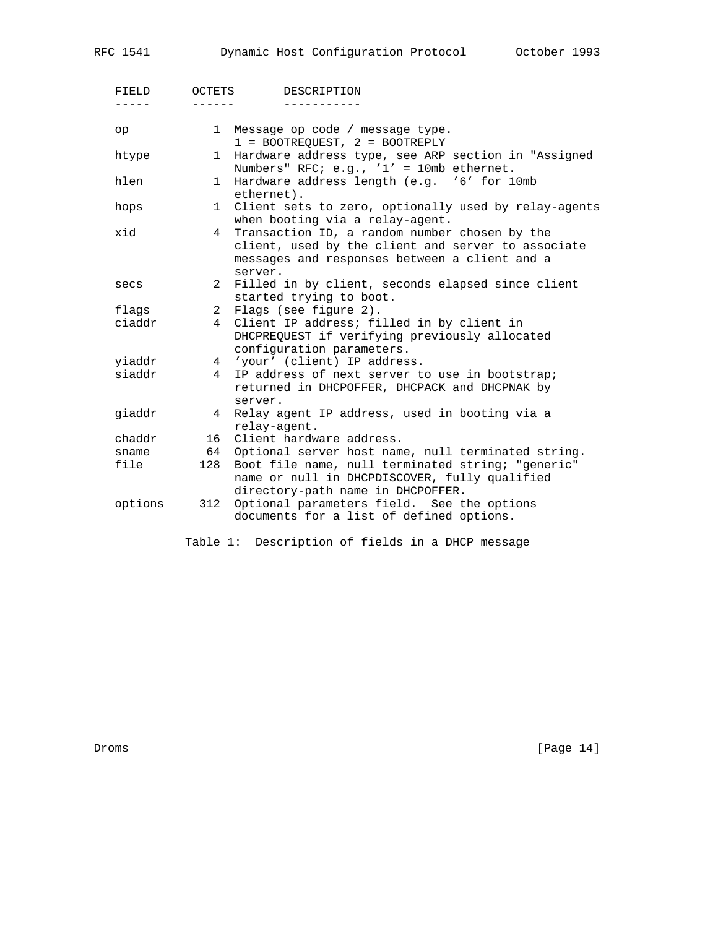| FIELD<br>$- - - - -$ | OCTETS         | DESCRIPTION                                                                                                                                                     |
|----------------------|----------------|-----------------------------------------------------------------------------------------------------------------------------------------------------------------|
| op                   |                | 1 Message op code / message type.                                                                                                                               |
| htype                | 1              | 1 = BOOTREQUEST, 2 = BOOTREPLY<br>Hardware address type, see ARP section in "Assigned<br>Numbers" RFC; e.g., $'1' = 10$ mb ethernet.                            |
| hlen                 | 1              | Hardware address length (e.g. '6' for 10mb<br>ethernet).                                                                                                        |
| hops                 | 1              | Client sets to zero, optionally used by relay-agents<br>when booting via a relay-agent.                                                                         |
| hix                  | 4              | Transaction ID, a random number chosen by the<br>client, used by the client and server to associate<br>messages and responses between a client and a<br>server. |
| secs                 | 2              | Filled in by client, seconds elapsed since client<br>started trying to boot.                                                                                    |
| flags                | 2              | Flags (see figure 2).                                                                                                                                           |
| ciaddr               | $\overline{4}$ | Client IP address; filled in by client in<br>DHCPREQUEST if verifying previously allocated<br>configuration parameters.                                         |
| yiaddr               |                | 4 'your' (client) IP address.                                                                                                                                   |
| siaddr               | 4              | IP address of next server to use in bootstrap;<br>returned in DHCPOFFER, DHCPACK and DHCPNAK by<br>server.                                                      |
| giaddr               | 4              | Relay agent IP address, used in booting via a<br>relay-agent.                                                                                                   |
| chaddr               | 16             | Client hardware address.                                                                                                                                        |
| sname                | 64             | Optional server host name, null terminated string.                                                                                                              |
| file                 | 128            | Boot file name, null terminated string; "generic"<br>name or null in DHCPDISCOVER, fully qualified<br>directory-path name in DHCPOFFER.                         |
| options              | 312            | Optional parameters field. See the options<br>documents for a list of defined options.                                                                          |
|                      | Table 1:       | Description of fields in a DHCP message                                                                                                                         |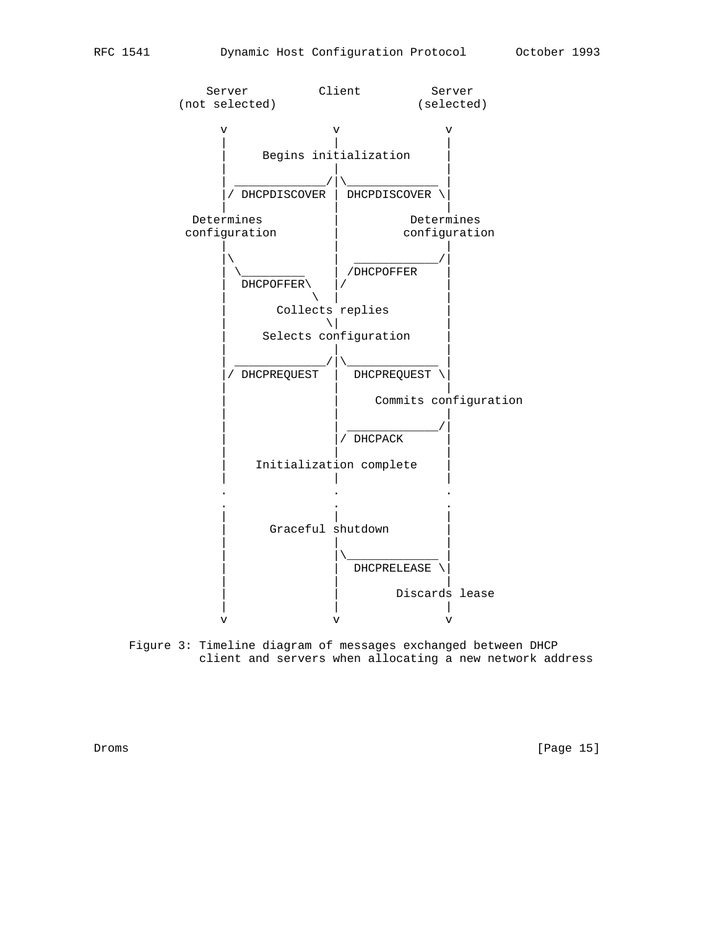

 Figure 3: Timeline diagram of messages exchanged between DHCP client and servers when allocating a new network address

Droms [Page 15]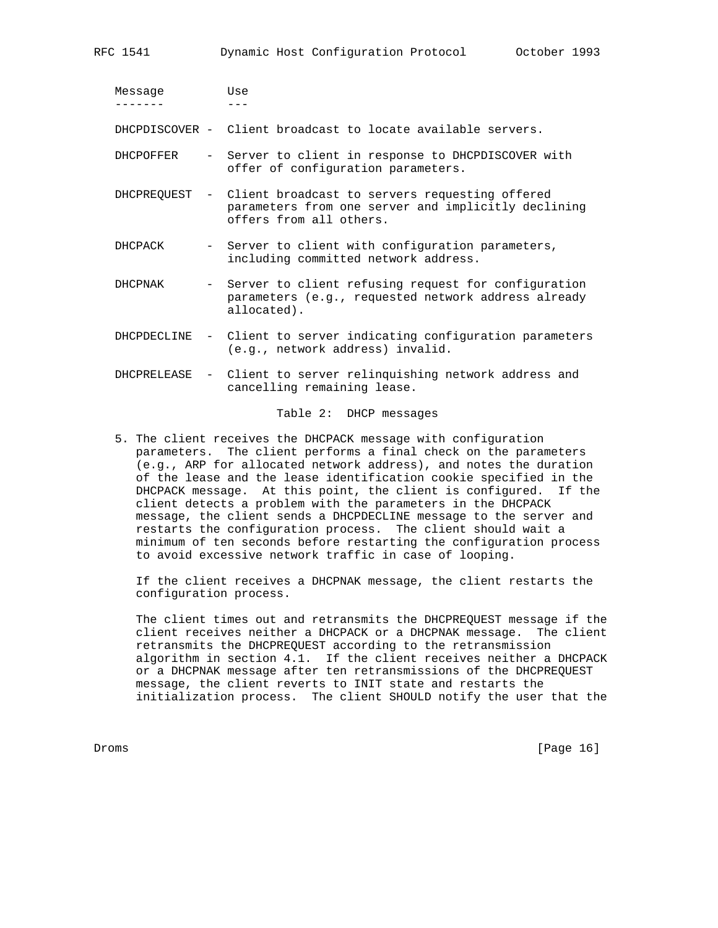Message Use ------- ---

DHCPDISCOVER - Client broadcast to locate available servers.

DHCPOFFER - Server to client in response to DHCPDISCOVER with offer of configuration parameters.

- DHCPREQUEST Client broadcast to servers requesting offered parameters from one server and implicitly declining offers from all others.
- DHCPACK Server to client with configuration parameters, including committed network address.
- DHCPNAK Server to client refusing request for configuration parameters (e.g., requested network address already allocated).
- DHCPDECLINE Client to server indicating configuration parameters (e.g., network address) invalid.
- DHCPRELEASE Client to server relinquishing network address and cancelling remaining lease.

### Table 2: DHCP messages

 5. The client receives the DHCPACK message with configuration parameters. The client performs a final check on the parameters (e.g., ARP for allocated network address), and notes the duration of the lease and the lease identification cookie specified in the DHCPACK message. At this point, the client is configured. If the client detects a problem with the parameters in the DHCPACK message, the client sends a DHCPDECLINE message to the server and restarts the configuration process. The client should wait a minimum of ten seconds before restarting the configuration process to avoid excessive network traffic in case of looping.

 If the client receives a DHCPNAK message, the client restarts the configuration process.

 The client times out and retransmits the DHCPREQUEST message if the client receives neither a DHCPACK or a DHCPNAK message. The client retransmits the DHCPREQUEST according to the retransmission algorithm in section 4.1. If the client receives neither a DHCPACK or a DHCPNAK message after ten retransmissions of the DHCPREQUEST message, the client reverts to INIT state and restarts the initialization process. The client SHOULD notify the user that the

Droms [Page 16]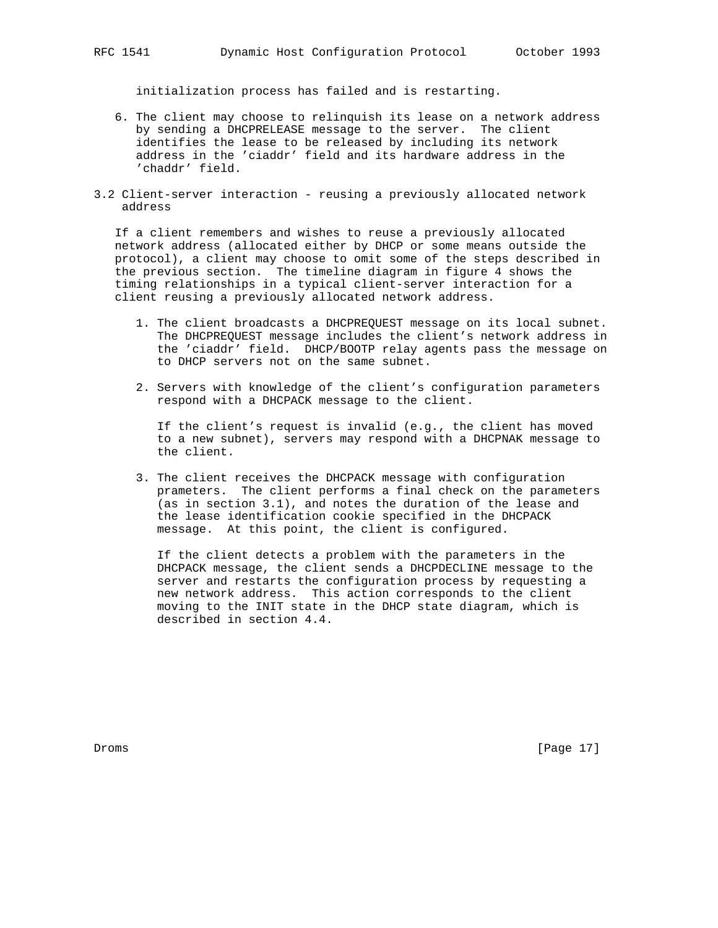initialization process has failed and is restarting.

- 6. The client may choose to relinquish its lease on a network address by sending a DHCPRELEASE message to the server. The client identifies the lease to be released by including its network address in the 'ciaddr' field and its hardware address in the 'chaddr' field.
- 3.2 Client-server interaction reusing a previously allocated network address

 If a client remembers and wishes to reuse a previously allocated network address (allocated either by DHCP or some means outside the protocol), a client may choose to omit some of the steps described in the previous section. The timeline diagram in figure 4 shows the timing relationships in a typical client-server interaction for a client reusing a previously allocated network address.

- 1. The client broadcasts a DHCPREQUEST message on its local subnet. The DHCPREQUEST message includes the client's network address in the 'ciaddr' field. DHCP/BOOTP relay agents pass the message on to DHCP servers not on the same subnet.
- 2. Servers with knowledge of the client's configuration parameters respond with a DHCPACK message to the client.

 If the client's request is invalid (e.g., the client has moved to a new subnet), servers may respond with a DHCPNAK message to the client.

 3. The client receives the DHCPACK message with configuration prameters. The client performs a final check on the parameters (as in section 3.1), and notes the duration of the lease and the lease identification cookie specified in the DHCPACK message. At this point, the client is configured.

 If the client detects a problem with the parameters in the DHCPACK message, the client sends a DHCPDECLINE message to the server and restarts the configuration process by requesting a new network address. This action corresponds to the client moving to the INIT state in the DHCP state diagram, which is described in section 4.4.

Droms [Page 17]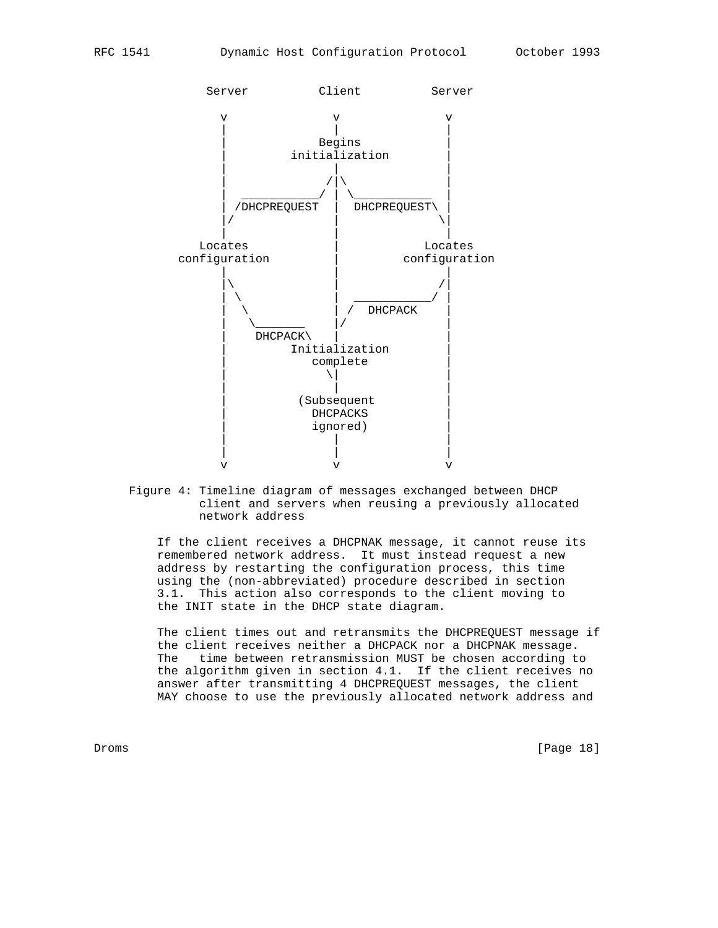

### Figure 4: Timeline diagram of messages exchanged between DHCP client and servers when reusing a previously allocated network address

 If the client receives a DHCPNAK message, it cannot reuse its remembered network address. It must instead request a new address by restarting the configuration process, this time using the (non-abbreviated) procedure described in section 3.1. This action also corresponds to the client moving to the INIT state in the DHCP state diagram.

 The client times out and retransmits the DHCPREQUEST message if the client receives neither a DHCPACK nor a DHCPNAK message. The time between retransmission MUST be chosen according to the algorithm given in section 4.1. If the client receives no answer after transmitting 4 DHCPREQUEST messages, the client MAY choose to use the previously allocated network address and

Droms [Page 18]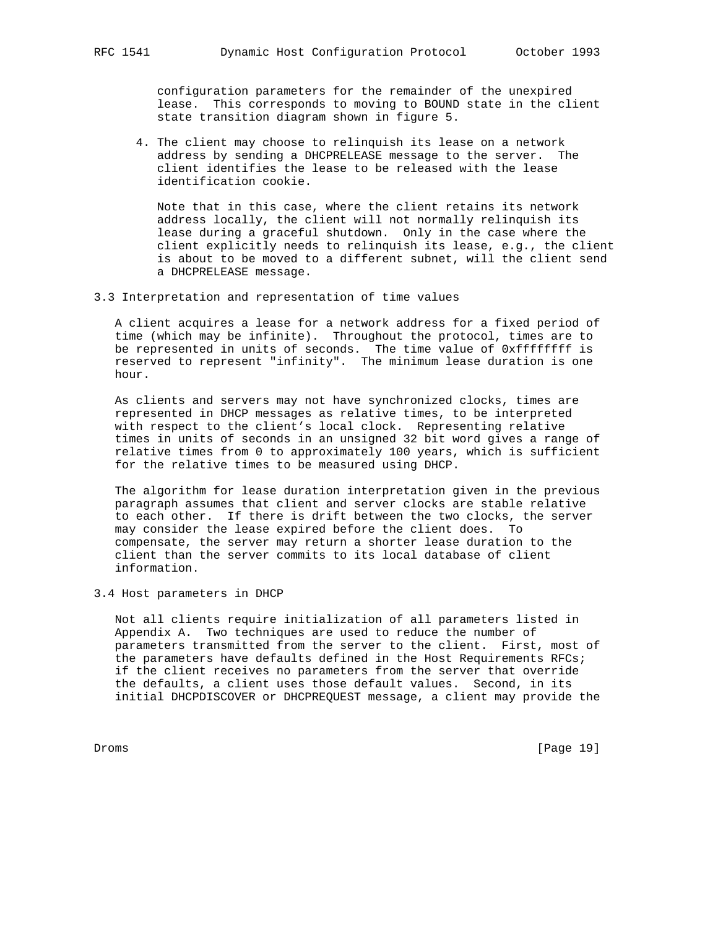configuration parameters for the remainder of the unexpired lease. This corresponds to moving to BOUND state in the client state transition diagram shown in figure 5.

 4. The client may choose to relinquish its lease on a network address by sending a DHCPRELEASE message to the server. The client identifies the lease to be released with the lease identification cookie.

 Note that in this case, where the client retains its network address locally, the client will not normally relinquish its lease during a graceful shutdown. Only in the case where the client explicitly needs to relinquish its lease, e.g., the client is about to be moved to a different subnet, will the client send a DHCPRELEASE message.

3.3 Interpretation and representation of time values

 A client acquires a lease for a network address for a fixed period of time (which may be infinite). Throughout the protocol, times are to be represented in units of seconds. The time value of 0xffffffff is reserved to represent "infinity". The minimum lease duration is one hour.

 As clients and servers may not have synchronized clocks, times are represented in DHCP messages as relative times, to be interpreted with respect to the client's local clock. Representing relative times in units of seconds in an unsigned 32 bit word gives a range of relative times from 0 to approximately 100 years, which is sufficient for the relative times to be measured using DHCP.

 The algorithm for lease duration interpretation given in the previous paragraph assumes that client and server clocks are stable relative to each other. If there is drift between the two clocks, the server may consider the lease expired before the client does. To compensate, the server may return a shorter lease duration to the client than the server commits to its local database of client information.

3.4 Host parameters in DHCP

 Not all clients require initialization of all parameters listed in Appendix A. Two techniques are used to reduce the number of parameters transmitted from the server to the client. First, most of the parameters have defaults defined in the Host Requirements RFCs; if the client receives no parameters from the server that override the defaults, a client uses those default values. Second, in its initial DHCPDISCOVER or DHCPREQUEST message, a client may provide the

Droms [Page 19]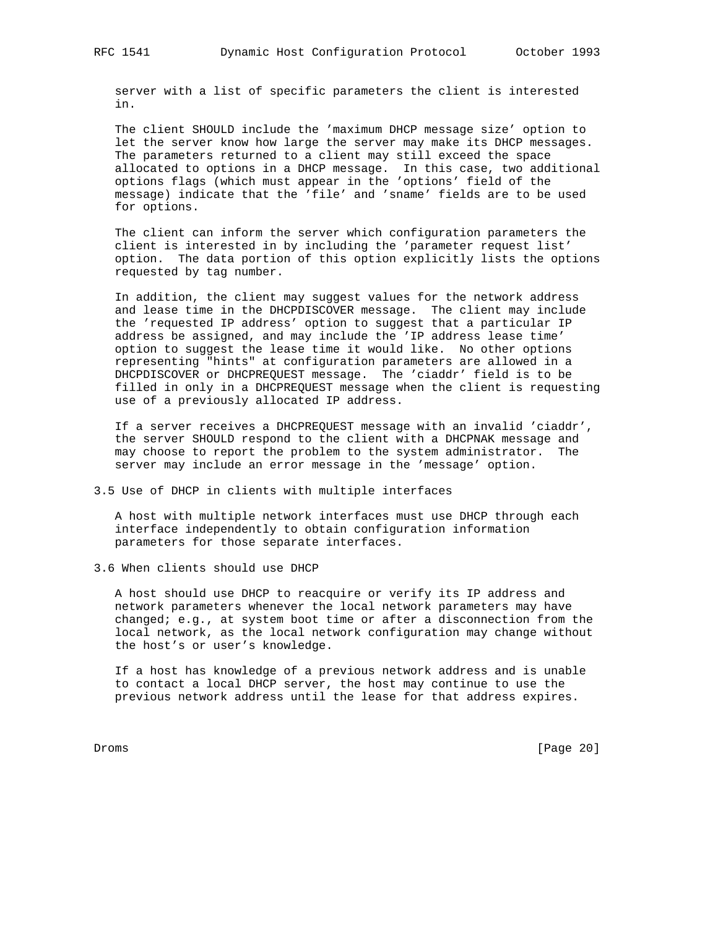server with a list of specific parameters the client is interested in.

 The client SHOULD include the 'maximum DHCP message size' option to let the server know how large the server may make its DHCP messages. The parameters returned to a client may still exceed the space allocated to options in a DHCP message. In this case, two additional options flags (which must appear in the 'options' field of the message) indicate that the 'file' and 'sname' fields are to be used for options.

 The client can inform the server which configuration parameters the client is interested in by including the 'parameter request list' option. The data portion of this option explicitly lists the options requested by tag number.

 In addition, the client may suggest values for the network address and lease time in the DHCPDISCOVER message. The client may include the 'requested IP address' option to suggest that a particular IP address be assigned, and may include the 'IP address lease time' option to suggest the lease time it would like. No other options representing "hints" at configuration parameters are allowed in a DHCPDISCOVER or DHCPREQUEST message. The 'ciaddr' field is to be filled in only in a DHCPREQUEST message when the client is requesting use of a previously allocated IP address.

 If a server receives a DHCPREQUEST message with an invalid 'ciaddr', the server SHOULD respond to the client with a DHCPNAK message and may choose to report the problem to the system administrator. The server may include an error message in the 'message' option.

3.5 Use of DHCP in clients with multiple interfaces

 A host with multiple network interfaces must use DHCP through each interface independently to obtain configuration information parameters for those separate interfaces.

3.6 When clients should use DHCP

 A host should use DHCP to reacquire or verify its IP address and network parameters whenever the local network parameters may have changed; e.g., at system boot time or after a disconnection from the local network, as the local network configuration may change without the host's or user's knowledge.

 If a host has knowledge of a previous network address and is unable to contact a local DHCP server, the host may continue to use the previous network address until the lease for that address expires.

Droms [Page 20]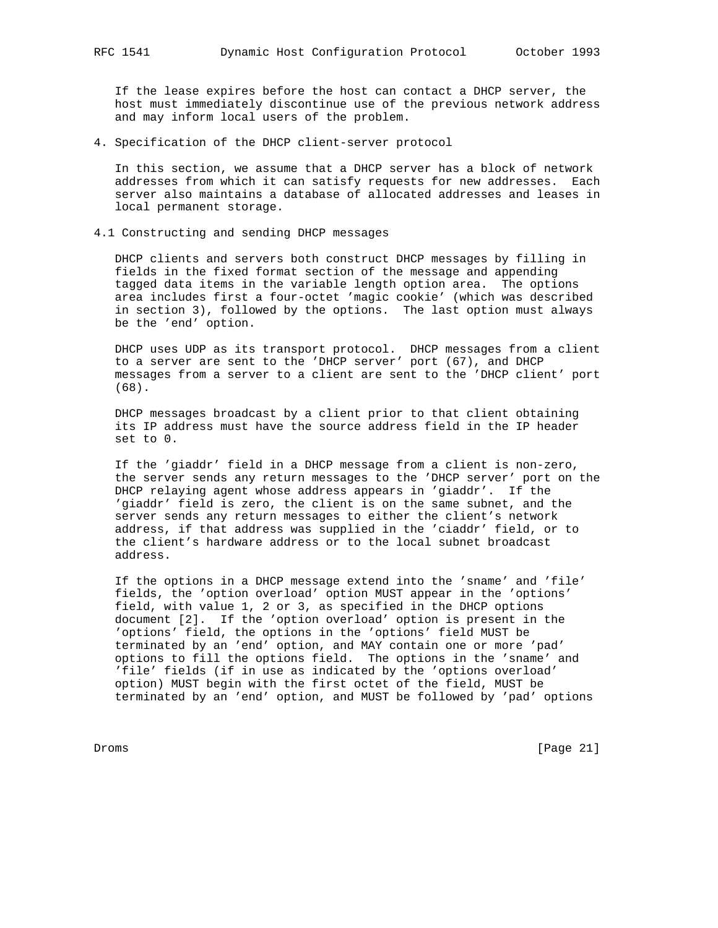If the lease expires before the host can contact a DHCP server, the host must immediately discontinue use of the previous network address and may inform local users of the problem.

4. Specification of the DHCP client-server protocol

 In this section, we assume that a DHCP server has a block of network addresses from which it can satisfy requests for new addresses. Each server also maintains a database of allocated addresses and leases in local permanent storage.

4.1 Constructing and sending DHCP messages

 DHCP clients and servers both construct DHCP messages by filling in fields in the fixed format section of the message and appending tagged data items in the variable length option area. The options area includes first a four-octet 'magic cookie' (which was described in section 3), followed by the options. The last option must always be the 'end' option.

 DHCP uses UDP as its transport protocol. DHCP messages from a client to a server are sent to the 'DHCP server' port (67), and DHCP messages from a server to a client are sent to the 'DHCP client' port (68).

 DHCP messages broadcast by a client prior to that client obtaining its IP address must have the source address field in the IP header set to 0.

 If the 'giaddr' field in a DHCP message from a client is non-zero, the server sends any return messages to the 'DHCP server' port on the DHCP relaying agent whose address appears in 'giaddr'. If the 'giaddr' field is zero, the client is on the same subnet, and the server sends any return messages to either the client's network address, if that address was supplied in the 'ciaddr' field, or to the client's hardware address or to the local subnet broadcast address.

 If the options in a DHCP message extend into the 'sname' and 'file' fields, the 'option overload' option MUST appear in the 'options' field, with value 1, 2 or 3, as specified in the DHCP options document [2]. If the 'option overload' option is present in the 'options' field, the options in the 'options' field MUST be terminated by an 'end' option, and MAY contain one or more 'pad' options to fill the options field. The options in the 'sname' and 'file' fields (if in use as indicated by the 'options overload' option) MUST begin with the first octet of the field, MUST be terminated by an 'end' option, and MUST be followed by 'pad' options

Droms [Page 21]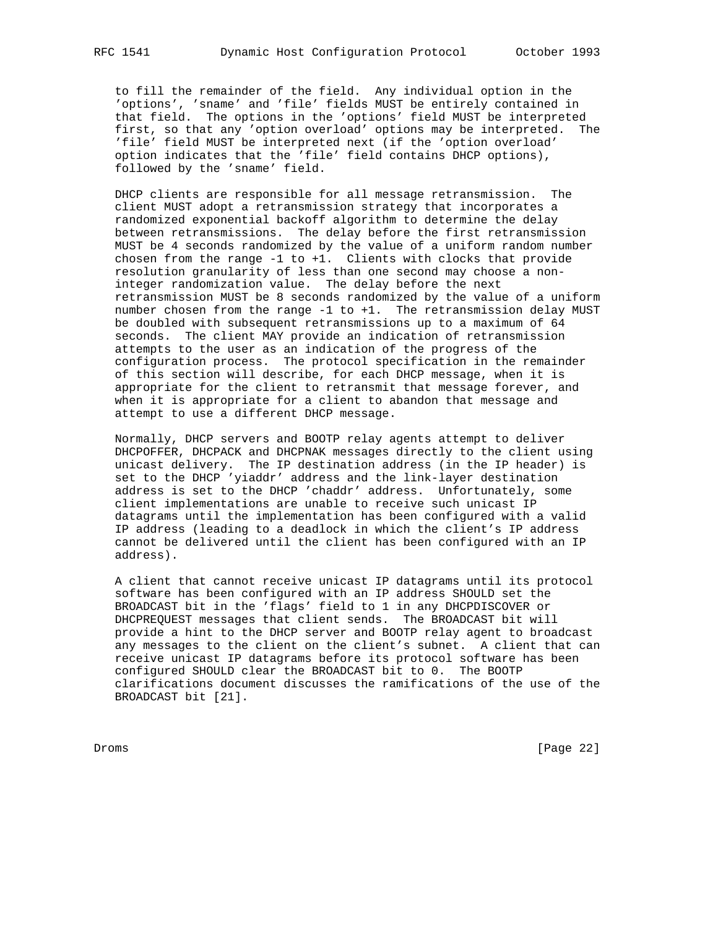to fill the remainder of the field. Any individual option in the 'options', 'sname' and 'file' fields MUST be entirely contained in that field. The options in the 'options' field MUST be interpreted first, so that any 'option overload' options may be interpreted. The 'file' field MUST be interpreted next (if the 'option overload' option indicates that the 'file' field contains DHCP options), followed by the 'sname' field.

 DHCP clients are responsible for all message retransmission. The client MUST adopt a retransmission strategy that incorporates a randomized exponential backoff algorithm to determine the delay between retransmissions. The delay before the first retransmission MUST be 4 seconds randomized by the value of a uniform random number chosen from the range -1 to +1. Clients with clocks that provide resolution granularity of less than one second may choose a non integer randomization value. The delay before the next retransmission MUST be 8 seconds randomized by the value of a uniform number chosen from the range -1 to +1. The retransmission delay MUST be doubled with subsequent retransmissions up to a maximum of 64 seconds. The client MAY provide an indication of retransmission attempts to the user as an indication of the progress of the configuration process. The protocol specification in the remainder of this section will describe, for each DHCP message, when it is appropriate for the client to retransmit that message forever, and when it is appropriate for a client to abandon that message and attempt to use a different DHCP message.

 Normally, DHCP servers and BOOTP relay agents attempt to deliver DHCPOFFER, DHCPACK and DHCPNAK messages directly to the client using unicast delivery. The IP destination address (in the IP header) is set to the DHCP 'yiaddr' address and the link-layer destination address is set to the DHCP 'chaddr' address. Unfortunately, some client implementations are unable to receive such unicast IP datagrams until the implementation has been configured with a valid IP address (leading to a deadlock in which the client's IP address cannot be delivered until the client has been configured with an IP address).

 A client that cannot receive unicast IP datagrams until its protocol software has been configured with an IP address SHOULD set the BROADCAST bit in the 'flags' field to 1 in any DHCPDISCOVER or DHCPREQUEST messages that client sends. The BROADCAST bit will provide a hint to the DHCP server and BOOTP relay agent to broadcast any messages to the client on the client's subnet. A client that can receive unicast IP datagrams before its protocol software has been configured SHOULD clear the BROADCAST bit to 0. The BOOTP clarifications document discusses the ramifications of the use of the BROADCAST bit [21].

Droms [Page 22]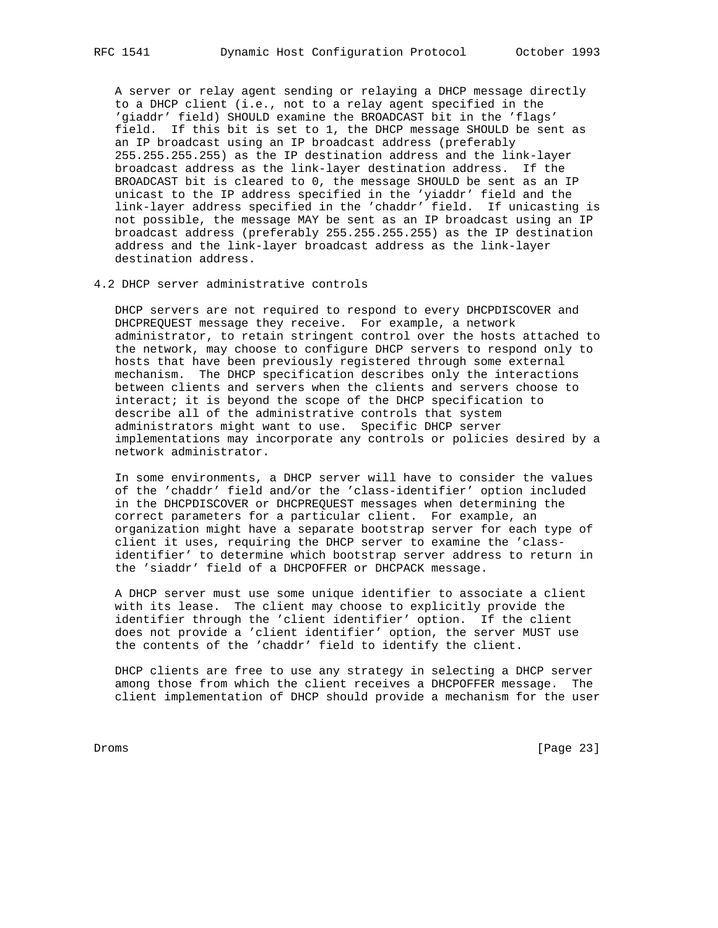A server or relay agent sending or relaying a DHCP message directly to a DHCP client (i.e., not to a relay agent specified in the 'giaddr' field) SHOULD examine the BROADCAST bit in the 'flags' field. If this bit is set to 1, the DHCP message SHOULD be sent as an IP broadcast using an IP broadcast address (preferably 255.255.255.255) as the IP destination address and the link-layer broadcast address as the link-layer destination address. If the BROADCAST bit is cleared to 0, the message SHOULD be sent as an IP unicast to the IP address specified in the 'yiaddr' field and the link-layer address specified in the 'chaddr' field. If unicasting is not possible, the message MAY be sent as an IP broadcast using an IP broadcast address (preferably 255.255.255.255) as the IP destination address and the link-layer broadcast address as the link-layer destination address.

4.2 DHCP server administrative controls

 DHCP servers are not required to respond to every DHCPDISCOVER and DHCPREQUEST message they receive. For example, a network administrator, to retain stringent control over the hosts attached to the network, may choose to configure DHCP servers to respond only to hosts that have been previously registered through some external mechanism. The DHCP specification describes only the interactions between clients and servers when the clients and servers choose to interact; it is beyond the scope of the DHCP specification to describe all of the administrative controls that system administrators might want to use. Specific DHCP server implementations may incorporate any controls or policies desired by a network administrator.

 In some environments, a DHCP server will have to consider the values of the 'chaddr' field and/or the 'class-identifier' option included in the DHCPDISCOVER or DHCPREQUEST messages when determining the correct parameters for a particular client. For example, an organization might have a separate bootstrap server for each type of client it uses, requiring the DHCP server to examine the 'class identifier' to determine which bootstrap server address to return in the 'siaddr' field of a DHCPOFFER or DHCPACK message.

 A DHCP server must use some unique identifier to associate a client with its lease. The client may choose to explicitly provide the identifier through the 'client identifier' option. If the client does not provide a 'client identifier' option, the server MUST use the contents of the 'chaddr' field to identify the client.

 DHCP clients are free to use any strategy in selecting a DHCP server among those from which the client receives a DHCPOFFER message. The client implementation of DHCP should provide a mechanism for the user

Droms [Page 23]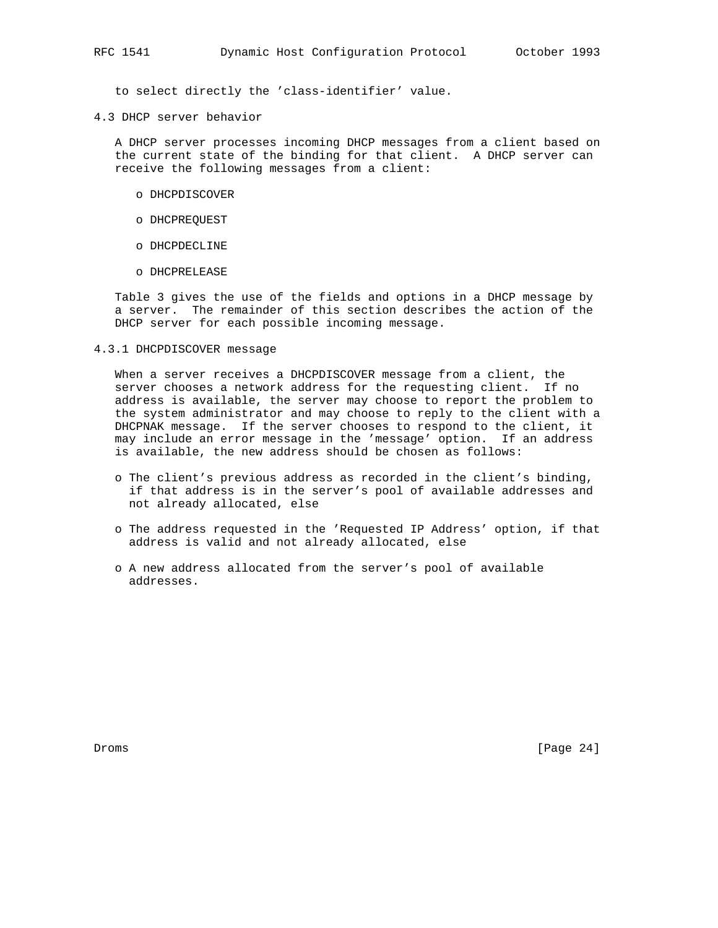to select directly the 'class-identifier' value.

4.3 DHCP server behavior

 A DHCP server processes incoming DHCP messages from a client based on the current state of the binding for that client. A DHCP server can receive the following messages from a client:

- o DHCPDISCOVER
- o DHCPREQUEST
- o DHCPDECLINE
- o DHCPRELEASE

 Table 3 gives the use of the fields and options in a DHCP message by a server. The remainder of this section describes the action of the DHCP server for each possible incoming message.

#### 4.3.1 DHCPDISCOVER message

 When a server receives a DHCPDISCOVER message from a client, the server chooses a network address for the requesting client. If no address is available, the server may choose to report the problem to the system administrator and may choose to reply to the client with a DHCPNAK message. If the server chooses to respond to the client, it may include an error message in the 'message' option. If an address is available, the new address should be chosen as follows:

- o The client's previous address as recorded in the client's binding, if that address is in the server's pool of available addresses and not already allocated, else
- o The address requested in the 'Requested IP Address' option, if that address is valid and not already allocated, else
- o A new address allocated from the server's pool of available addresses.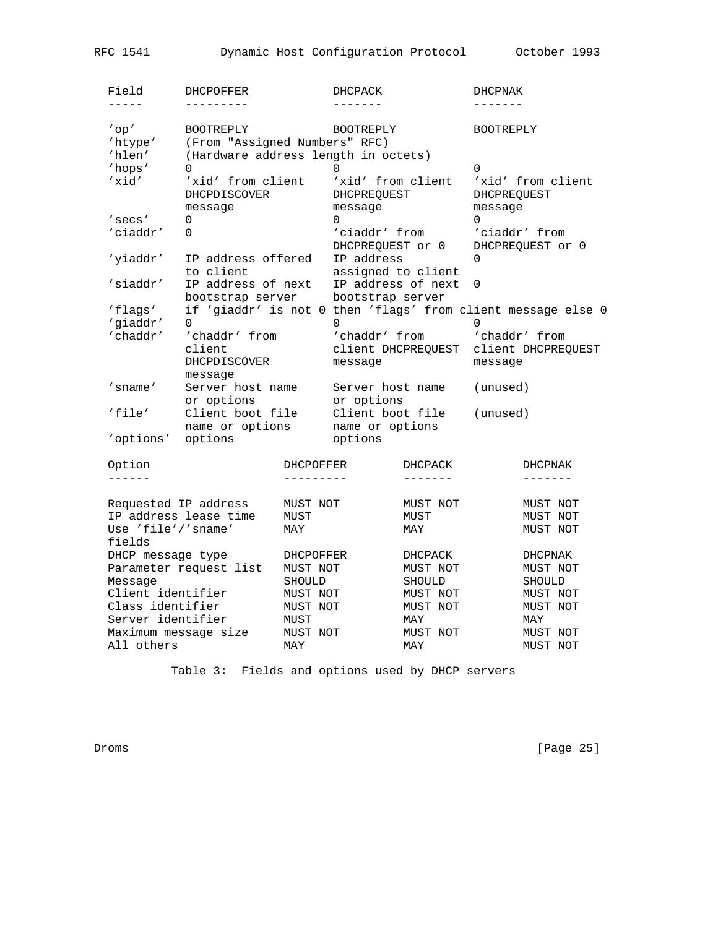| Field                                                  | DHCPOFFER                     |                                     | <b>DHCPACK</b>     |                                     | DHCPNAK          |                                                              |  |  |  |
|--------------------------------------------------------|-------------------------------|-------------------------------------|--------------------|-------------------------------------|------------------|--------------------------------------------------------------|--|--|--|
| $- - - - -$                                            | . <u>.</u>                    |                                     | - - - - - - -      |                                     |                  |                                                              |  |  |  |
| $'$ op $'$                                             | <b>BOOTREPLY</b>              |                                     | BOOTREPLY          |                                     | <b>BOOTREPLY</b> |                                                              |  |  |  |
| 'htype'                                                | (From "Assigned Numbers" RFC) |                                     |                    |                                     |                  |                                                              |  |  |  |
| 'hlen'                                                 |                               | (Hardware address length in octets) |                    |                                     |                  |                                                              |  |  |  |
| 'hops'                                                 | 0                             |                                     | 0                  |                                     | 0                |                                                              |  |  |  |
| 'xid'                                                  | 'xid' from client             |                                     |                    | 'xid' from client                   |                  | 'xid' from client                                            |  |  |  |
|                                                        | DHCPDISCOVER                  |                                     | DHCPREQUEST        |                                     | DHCPREQUEST      |                                                              |  |  |  |
|                                                        | message                       |                                     | message            |                                     | message          |                                                              |  |  |  |
| 'secs'                                                 | 0                             |                                     | 0                  |                                     | 0                |                                                              |  |  |  |
| 'ciaddr'                                               | $\Omega$                      |                                     |                    | 'ciaddr' from                       |                  | 'ciaddr' from                                                |  |  |  |
|                                                        |                               |                                     |                    | DHCPREOUEST or 0                    |                  | DHCPREQUEST or 0                                             |  |  |  |
| 'yiaddr'                                               | IP address offered            |                                     | IP address         |                                     | 0                |                                                              |  |  |  |
|                                                        | to client                     |                                     |                    | assigned to client                  |                  |                                                              |  |  |  |
| 'siaddr'                                               | IP address of next            |                                     |                    | IP address of next                  | $\Omega$         |                                                              |  |  |  |
|                                                        | bootstrap server              |                                     |                    | bootstrap server                    |                  |                                                              |  |  |  |
| 'flags'                                                |                               |                                     |                    |                                     |                  | if 'giaddr' is not 0 then 'flags' from client message else 0 |  |  |  |
| 'giaddr'                                               | 0                             |                                     | 0                  |                                     |                  |                                                              |  |  |  |
| 'chaddr'                                               | 'chaddr' from                 | 'chaddr' from                       |                    | 'chaddr' from<br>client DHCPREQUEST |                  |                                                              |  |  |  |
|                                                        | client                        |                                     | client DHCPREQUEST |                                     |                  |                                                              |  |  |  |
|                                                        | DHCPDISCOVER                  |                                     | message            |                                     | message          |                                                              |  |  |  |
|                                                        | message                       |                                     |                    |                                     |                  |                                                              |  |  |  |
| 'sname'                                                | Server host name              |                                     |                    | Server host name                    |                  | (unused)                                                     |  |  |  |
|                                                        | or options                    |                                     | or options         |                                     |                  |                                                              |  |  |  |
| 'file'                                                 | Client boot file              |                                     |                    | Client boot file                    | (unused)         |                                                              |  |  |  |
|                                                        | name or options               |                                     |                    | name or options                     |                  |                                                              |  |  |  |
| 'options'                                              | options                       |                                     | options            |                                     |                  |                                                              |  |  |  |
| Option                                                 |                               | DHCPOFFER                           |                    | DHCPACK                             |                  | DHCPNAK                                                      |  |  |  |
| ------                                                 |                               | _________                           |                    | <u> - - - - - - -</u>               |                  | -------                                                      |  |  |  |
|                                                        | Requested IP address          | MUST NOT                            |                    | MUST NOT                            |                  | MUST NOT                                                     |  |  |  |
|                                                        | IP address lease time         | MUST                                |                    | MUST                                |                  | MUST NOT                                                     |  |  |  |
| Use 'file'/'sname'                                     |                               | MAY                                 |                    | MAY                                 |                  | MUST NOT                                                     |  |  |  |
| fields                                                 |                               |                                     |                    |                                     |                  |                                                              |  |  |  |
|                                                        |                               | DHCPOFFER                           |                    | DHCPACK                             |                  | DHCPNAK                                                      |  |  |  |
| DHCP message type<br>Parameter request list<br>Message |                               | MUST NOT                            |                    | MUST NOT                            |                  | MUST NOT                                                     |  |  |  |
|                                                        |                               | SHOULD                              |                    | SHOULD                              |                  | SHOULD                                                       |  |  |  |
| Client identifier                                      |                               | MUST NOT                            |                    | MUST NOT                            |                  | MUST NOT                                                     |  |  |  |
| Class identifier                                       |                               | MUST NOT                            |                    | MUST NOT                            |                  | MUST NOT                                                     |  |  |  |
| Server identifier                                      |                               | MUST                                |                    | MAY                                 |                  | MAY                                                          |  |  |  |
|                                                        | Maximum message size          | MUST NOT                            |                    | MUST NOT                            | MUST NOT         |                                                              |  |  |  |
| All others                                             |                               | MAY                                 |                    | MAY                                 | MUST NOT         |                                                              |  |  |  |
|                                                        |                               |                                     |                    |                                     |                  |                                                              |  |  |  |

Table 3: Fields and options used by DHCP servers

Droms [Page 25]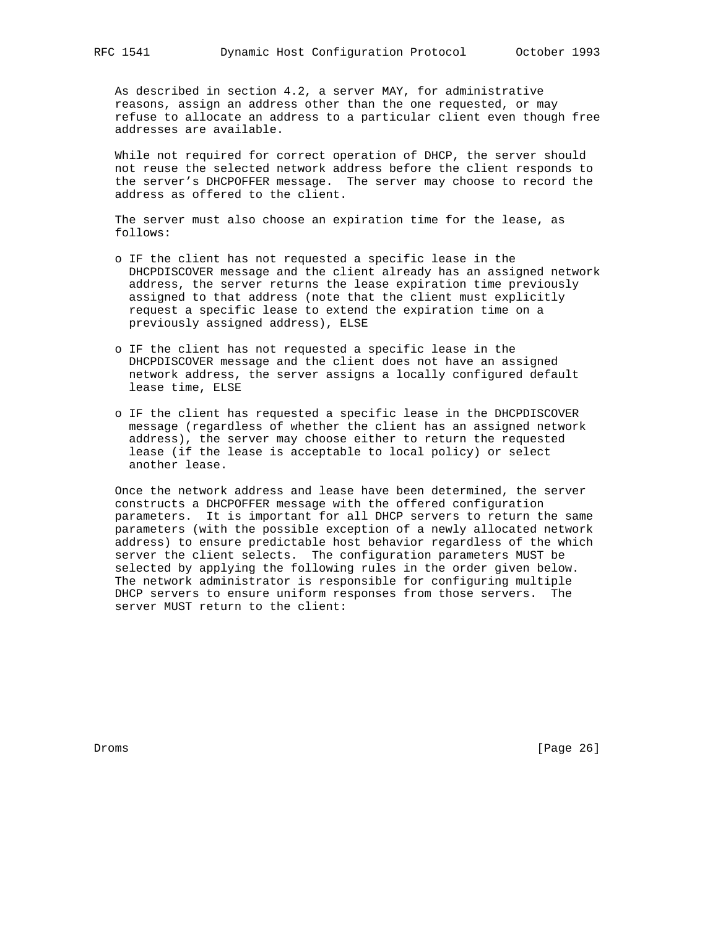As described in section 4.2, a server MAY, for administrative reasons, assign an address other than the one requested, or may refuse to allocate an address to a particular client even though free addresses are available.

 While not required for correct operation of DHCP, the server should not reuse the selected network address before the client responds to the server's DHCPOFFER message. The server may choose to record the address as offered to the client.

 The server must also choose an expiration time for the lease, as follows:

- o IF the client has not requested a specific lease in the DHCPDISCOVER message and the client already has an assigned network address, the server returns the lease expiration time previously assigned to that address (note that the client must explicitly request a specific lease to extend the expiration time on a previously assigned address), ELSE
- o IF the client has not requested a specific lease in the DHCPDISCOVER message and the client does not have an assigned network address, the server assigns a locally configured default lease time, ELSE
- o IF the client has requested a specific lease in the DHCPDISCOVER message (regardless of whether the client has an assigned network address), the server may choose either to return the requested lease (if the lease is acceptable to local policy) or select another lease.

 Once the network address and lease have been determined, the server constructs a DHCPOFFER message with the offered configuration parameters. It is important for all DHCP servers to return the same parameters (with the possible exception of a newly allocated network address) to ensure predictable host behavior regardless of the which server the client selects. The configuration parameters MUST be selected by applying the following rules in the order given below. The network administrator is responsible for configuring multiple DHCP servers to ensure uniform responses from those servers. The server MUST return to the client:

Droms [Page 26]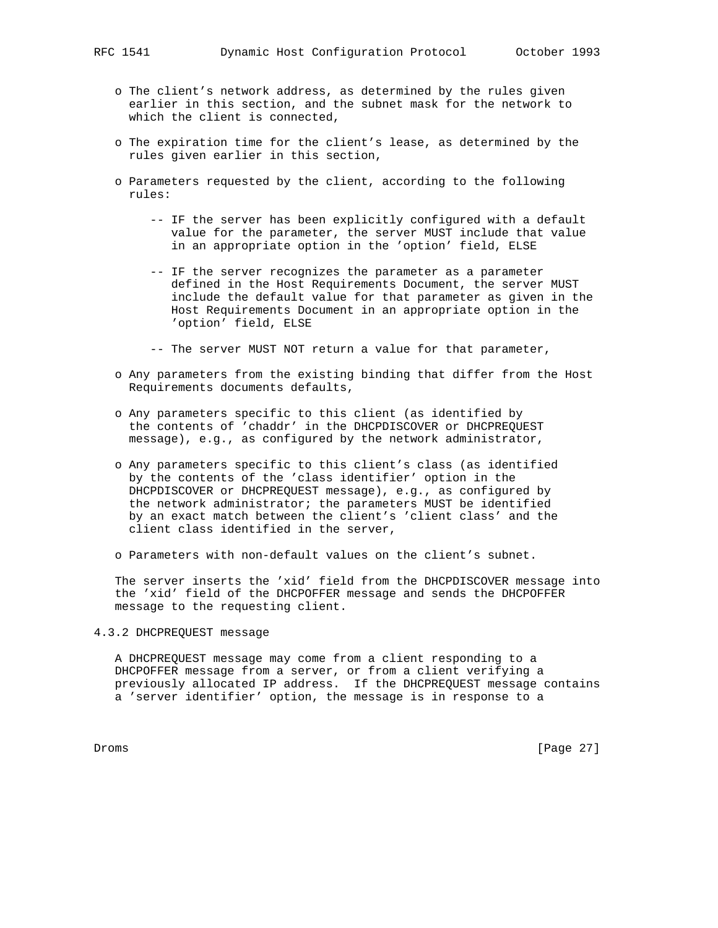- o The client's network address, as determined by the rules given earlier in this section, and the subnet mask for the network to which the client is connected,
- o The expiration time for the client's lease, as determined by the rules given earlier in this section,
- o Parameters requested by the client, according to the following rules:
	- -- IF the server has been explicitly configured with a default value for the parameter, the server MUST include that value in an appropriate option in the 'option' field, ELSE
	- -- IF the server recognizes the parameter as a parameter defined in the Host Requirements Document, the server MUST include the default value for that parameter as given in the Host Requirements Document in an appropriate option in the 'option' field, ELSE
	- -- The server MUST NOT return a value for that parameter,
- o Any parameters from the existing binding that differ from the Host Requirements documents defaults,
- o Any parameters specific to this client (as identified by the contents of 'chaddr' in the DHCPDISCOVER or DHCPREQUEST message), e.g., as configured by the network administrator,
- o Any parameters specific to this client's class (as identified by the contents of the 'class identifier' option in the DHCPDISCOVER or DHCPREQUEST message), e.g., as configured by the network administrator; the parameters MUST be identified by an exact match between the client's 'client class' and the client class identified in the server,
- o Parameters with non-default values on the client's subnet.

 The server inserts the 'xid' field from the DHCPDISCOVER message into the 'xid' field of the DHCPOFFER message and sends the DHCPOFFER message to the requesting client.

4.3.2 DHCPREQUEST message

 A DHCPREQUEST message may come from a client responding to a DHCPOFFER message from a server, or from a client verifying a previously allocated IP address. If the DHCPREQUEST message contains a 'server identifier' option, the message is in response to a

Droms [Page 27]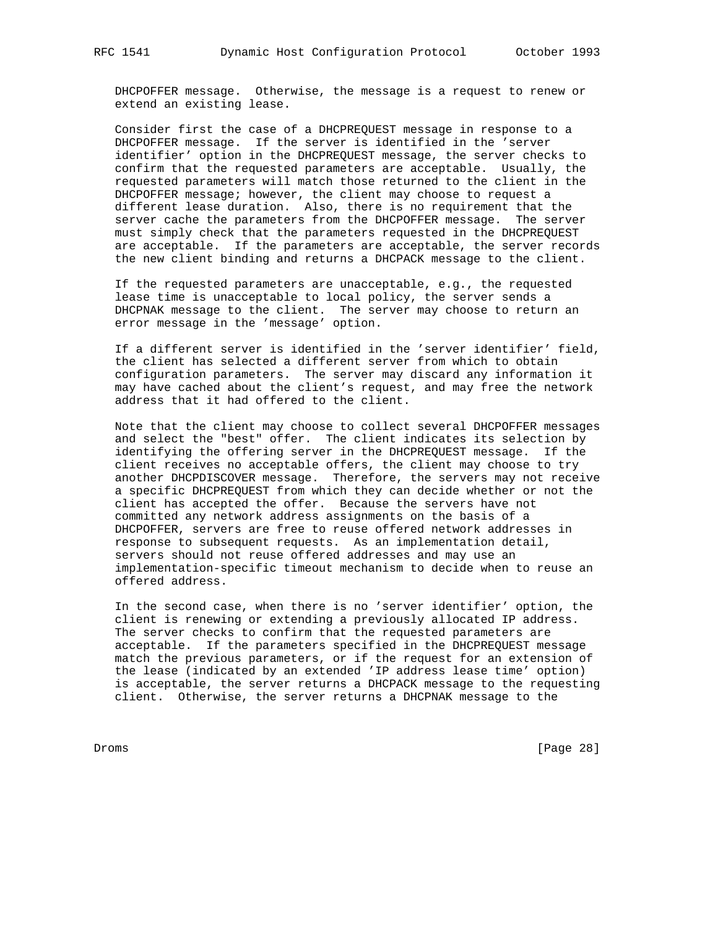DHCPOFFER message. Otherwise, the message is a request to renew or extend an existing lease.

 Consider first the case of a DHCPREQUEST message in response to a DHCPOFFER message. If the server is identified in the 'server identifier' option in the DHCPREQUEST message, the server checks to confirm that the requested parameters are acceptable. Usually, the requested parameters will match those returned to the client in the DHCPOFFER message; however, the client may choose to request a different lease duration. Also, there is no requirement that the server cache the parameters from the DHCPOFFER message. The server must simply check that the parameters requested in the DHCPREQUEST are acceptable. If the parameters are acceptable, the server records the new client binding and returns a DHCPACK message to the client.

 If the requested parameters are unacceptable, e.g., the requested lease time is unacceptable to local policy, the server sends a DHCPNAK message to the client. The server may choose to return an error message in the 'message' option.

 If a different server is identified in the 'server identifier' field, the client has selected a different server from which to obtain configuration parameters. The server may discard any information it may have cached about the client's request, and may free the network address that it had offered to the client.

 Note that the client may choose to collect several DHCPOFFER messages and select the "best" offer. The client indicates its selection by identifying the offering server in the DHCPREQUEST message. If the client receives no acceptable offers, the client may choose to try another DHCPDISCOVER message. Therefore, the servers may not receive a specific DHCPREQUEST from which they can decide whether or not the client has accepted the offer. Because the servers have not committed any network address assignments on the basis of a DHCPOFFER, servers are free to reuse offered network addresses in response to subsequent requests. As an implementation detail, servers should not reuse offered addresses and may use an implementation-specific timeout mechanism to decide when to reuse an offered address.

 In the second case, when there is no 'server identifier' option, the client is renewing or extending a previously allocated IP address. The server checks to confirm that the requested parameters are acceptable. If the parameters specified in the DHCPREQUEST message match the previous parameters, or if the request for an extension of the lease (indicated by an extended 'IP address lease time' option) is acceptable, the server returns a DHCPACK message to the requesting client. Otherwise, the server returns a DHCPNAK message to the

Droms [Page 28]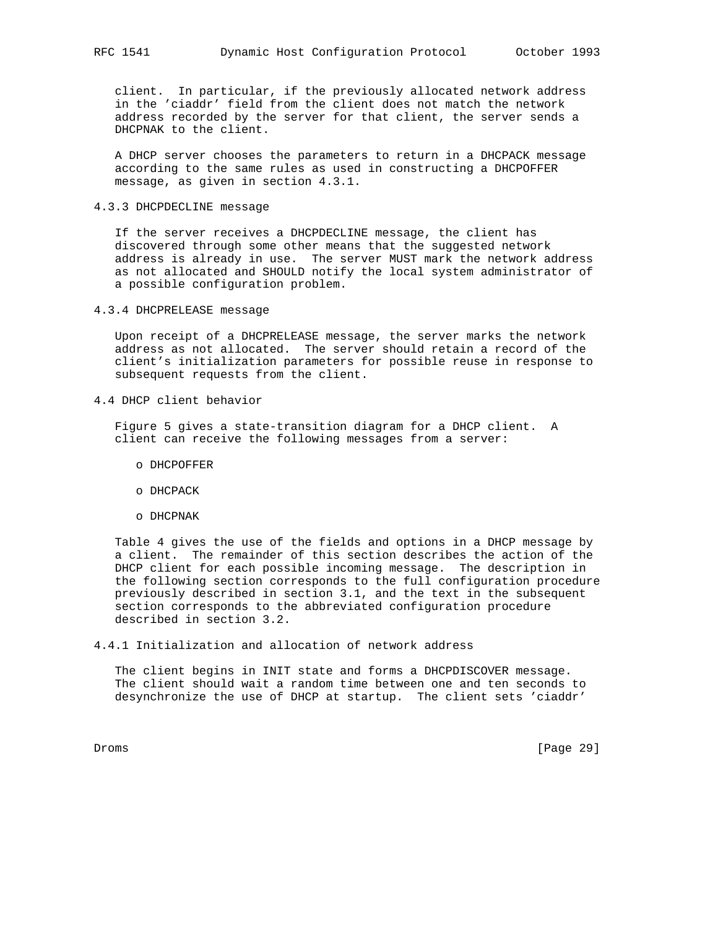client. In particular, if the previously allocated network address in the 'ciaddr' field from the client does not match the network address recorded by the server for that client, the server sends a DHCPNAK to the client.

 A DHCP server chooses the parameters to return in a DHCPACK message according to the same rules as used in constructing a DHCPOFFER message, as given in section 4.3.1.

4.3.3 DHCPDECLINE message

 If the server receives a DHCPDECLINE message, the client has discovered through some other means that the suggested network address is already in use. The server MUST mark the network address as not allocated and SHOULD notify the local system administrator of a possible configuration problem.

4.3.4 DHCPRELEASE message

 Upon receipt of a DHCPRELEASE message, the server marks the network address as not allocated. The server should retain a record of the client's initialization parameters for possible reuse in response to subsequent requests from the client.

4.4 DHCP client behavior

 Figure 5 gives a state-transition diagram for a DHCP client. A client can receive the following messages from a server:

- o DHCPOFFER
- o DHCPACK
- o DHCPNAK

 Table 4 gives the use of the fields and options in a DHCP message by a client. The remainder of this section describes the action of the DHCP client for each possible incoming message. The description in the following section corresponds to the full configuration procedure previously described in section 3.1, and the text in the subsequent section corresponds to the abbreviated configuration procedure described in section 3.2.

4.4.1 Initialization and allocation of network address

 The client begins in INIT state and forms a DHCPDISCOVER message. The client should wait a random time between one and ten seconds to desynchronize the use of DHCP at startup. The client sets 'ciaddr'

Droms [Page 29]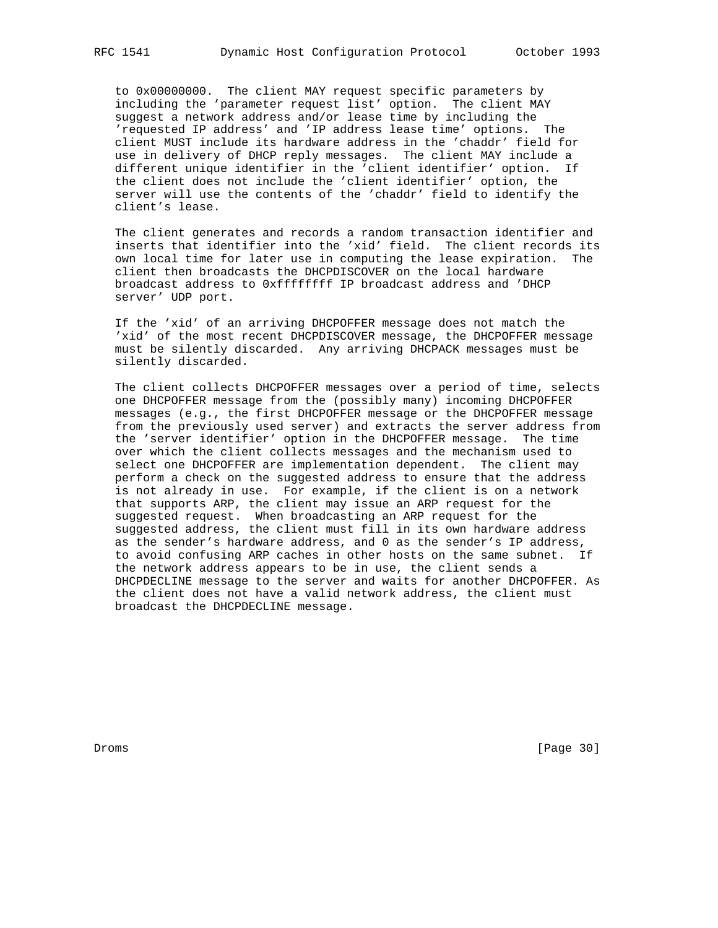to 0x00000000. The client MAY request specific parameters by including the 'parameter request list' option. The client MAY suggest a network address and/or lease time by including the 'requested IP address' and 'IP address lease time' options. The client MUST include its hardware address in the 'chaddr' field for use in delivery of DHCP reply messages. The client MAY include a different unique identifier in the 'client identifier' option. If the client does not include the 'client identifier' option, the server will use the contents of the 'chaddr' field to identify the client's lease.

 The client generates and records a random transaction identifier and inserts that identifier into the 'xid' field. The client records its own local time for later use in computing the lease expiration. The client then broadcasts the DHCPDISCOVER on the local hardware broadcast address to 0xffffffff IP broadcast address and 'DHCP server' UDP port.

 If the 'xid' of an arriving DHCPOFFER message does not match the 'xid' of the most recent DHCPDISCOVER message, the DHCPOFFER message must be silently discarded. Any arriving DHCPACK messages must be silently discarded.

 The client collects DHCPOFFER messages over a period of time, selects one DHCPOFFER message from the (possibly many) incoming DHCPOFFER messages (e.g., the first DHCPOFFER message or the DHCPOFFER message from the previously used server) and extracts the server address from the 'server identifier' option in the DHCPOFFER message. The time over which the client collects messages and the mechanism used to select one DHCPOFFER are implementation dependent. The client may perform a check on the suggested address to ensure that the address is not already in use. For example, if the client is on a network that supports ARP, the client may issue an ARP request for the suggested request. When broadcasting an ARP request for the suggested address, the client must fill in its own hardware address as the sender's hardware address, and 0 as the sender's IP address, to avoid confusing ARP caches in other hosts on the same subnet. If the network address appears to be in use, the client sends a DHCPDECLINE message to the server and waits for another DHCPOFFER. As the client does not have a valid network address, the client must broadcast the DHCPDECLINE message.

Droms [Page 30]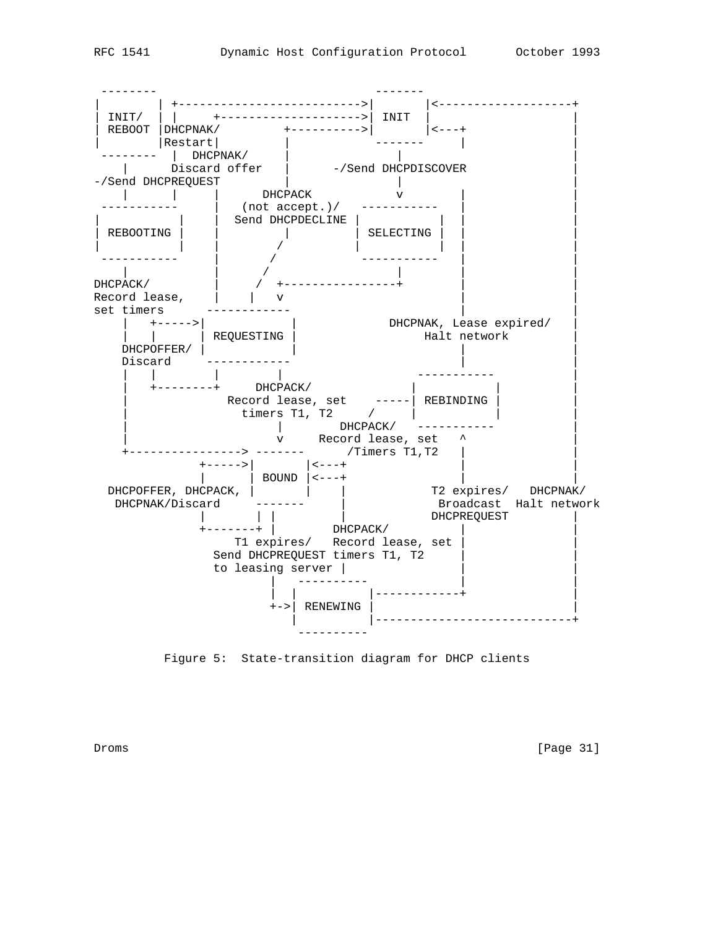

Figure 5: State-transition diagram for DHCP clients

Droms [Page 31]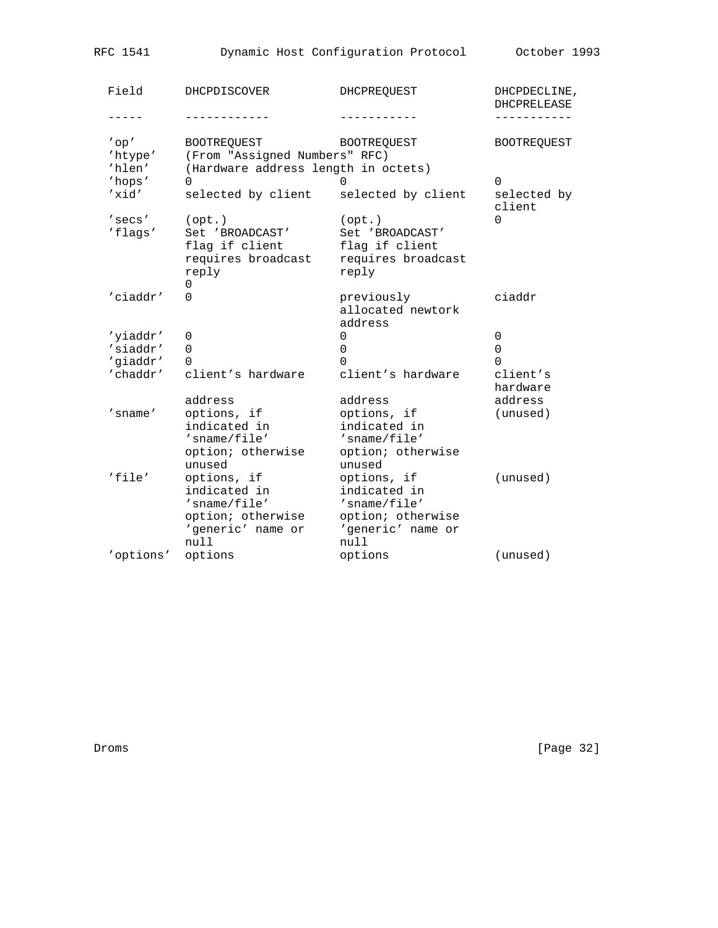| Field<br>$- - - -$    | DHCPDISCOVER<br>. <u>.</u> .                                                                  | DHCPREQUEST                                                                                   | DHCPDECLINE,<br><b>DHCPRELEASE</b><br>---------- |
|-----------------------|-----------------------------------------------------------------------------------------------|-----------------------------------------------------------------------------------------------|--------------------------------------------------|
|                       |                                                                                               |                                                                                               |                                                  |
| $'$ op $'$<br>'htype' | <b>BOOTREQUEST</b><br>(From "Assigned Numbers" RFC)                                           | <b>BOOTREQUEST</b>                                                                            | <b>BOOTREQUEST</b>                               |
| 'hlen'<br>'hops'      | (Hardware address length in octets)<br>U                                                      |                                                                                               | $\Omega$                                         |
| 'xid'                 | selected by client                                                                            | selected by client                                                                            | selected by<br>client                            |
| 'secs'<br>'flags'     | (opt.)<br>Set 'BROADCAST'<br>flag if client<br>requires broadcast<br>reply<br>0               | (opt.)<br>Set 'BROADCAST'<br>flag if client<br>requires broadcast<br>reply                    | <sup>n</sup>                                     |
| 'ciaddr'              | 0                                                                                             | previously<br>allocated newtork<br>address                                                    | ciaddr                                           |
| 'yiaddr'              | 0                                                                                             | 0                                                                                             | 0                                                |
| 'siaddr'              | $\Omega$                                                                                      | $\Omega$                                                                                      | $\Omega$                                         |
| 'qiaddr'              | 0                                                                                             | O.                                                                                            | <sup>n</sup>                                     |
| 'chaddr'              | client's hardware                                                                             | client's hardware                                                                             | client's<br>hardware                             |
|                       | address                                                                                       | address                                                                                       | address                                          |
| 'sname'               | options, if<br>indicated in<br>'sname/file'<br>option; otherwise<br>unused                    | options, if<br>indicated in<br>'sname/file'<br>option; otherwise<br>unused                    | (unused)                                         |
| 'file'                | options, if<br>indicated in<br>'sname/file'<br>option; otherwise<br>'generic' name or<br>null | options, if<br>indicated in<br>'sname/file'<br>option; otherwise<br>'generic' name or<br>null | (unused)                                         |
| 'options'             | options                                                                                       | options                                                                                       | (unused)                                         |

Droms [Page 32]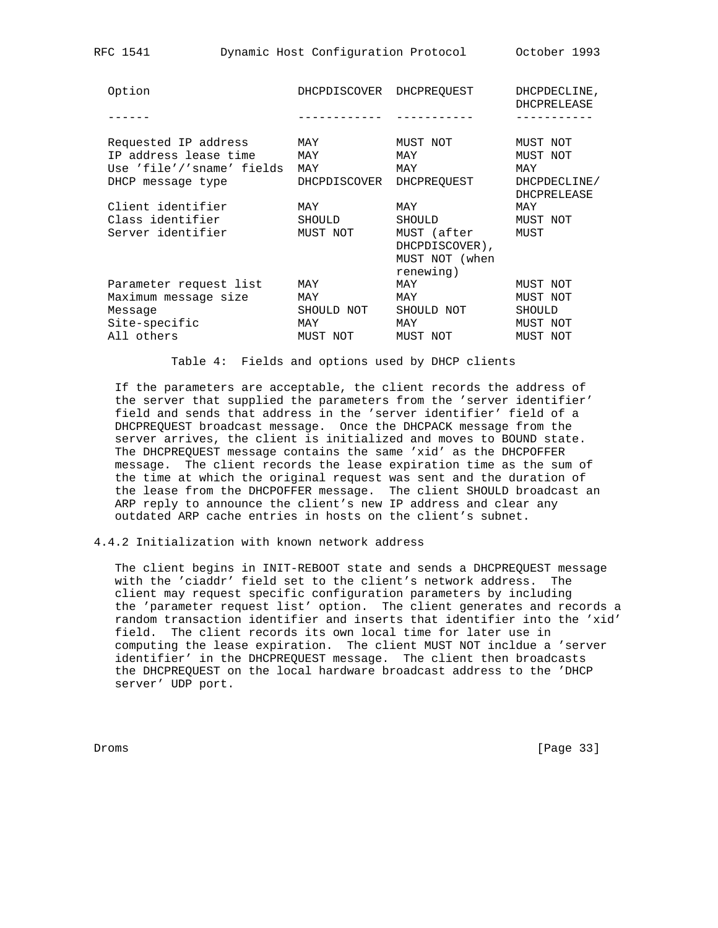| Option                                                                     | DHCPDISCOVER DHCPREOUEST |                                                              | DHCPDECLINE,<br><b>DHCPRELEASE</b> |
|----------------------------------------------------------------------------|--------------------------|--------------------------------------------------------------|------------------------------------|
|                                                                            |                          |                                                              |                                    |
| Requested IP address<br>IP address lease time<br>Use 'file'/'sname' fields | MAY<br>MAY<br>MAY        | MUST NOT<br>MAY<br>MAY                                       | MUST NOT<br>MUST NOT<br>MAY        |
| DHCP message type                                                          | DHCPDISCOVER             | DHCPREOUEST                                                  | DHCPDECLINE/<br>DHCPRELEASE        |
| Client identifier                                                          | MAY                      | MAY                                                          | MAY                                |
| Class identifier                                                           | SHOULD                   | SHOULD                                                       | MUST NOT                           |
| Server identifier                                                          | MUST NOT                 | MUST (after<br>DHCPDISCOVER),<br>MUST NOT (when<br>renewing) | MUST                               |
| Parameter request list                                                     | MAY                      | MAY                                                          | MUST NOT                           |
| Maximum message size                                                       | MAY                      | MAY                                                          | MUST NOT                           |
| Message                                                                    | SHOULD NOT               | SHOULD NOT                                                   | <b>SHOULD</b>                      |
| Site-specific                                                              | MAY                      | MAY                                                          | MUST NOT                           |
| All others                                                                 | MUST NOT                 | MUST NOT                                                     | MUST NOT                           |

Table 4: Fields and options used by DHCP clients

 If the parameters are acceptable, the client records the address of the server that supplied the parameters from the 'server identifier' field and sends that address in the 'server identifier' field of a DHCPREQUEST broadcast message. Once the DHCPACK message from the server arrives, the client is initialized and moves to BOUND state. The DHCPREQUEST message contains the same 'xid' as the DHCPOFFER message. The client records the lease expiration time as the sum of the time at which the original request was sent and the duration of the lease from the DHCPOFFER message. The client SHOULD broadcast an ARP reply to announce the client's new IP address and clear any outdated ARP cache entries in hosts on the client's subnet.

4.4.2 Initialization with known network address

 The client begins in INIT-REBOOT state and sends a DHCPREQUEST message with the 'ciaddr' field set to the client's network address. The client may request specific configuration parameters by including the 'parameter request list' option. The client generates and records a random transaction identifier and inserts that identifier into the 'xid' field. The client records its own local time for later use in computing the lease expiration. The client MUST NOT incldue a 'server identifier' in the DHCPREQUEST message. The client then broadcasts the DHCPREQUEST on the local hardware broadcast address to the 'DHCP server' UDP port.

Droms [Page 33]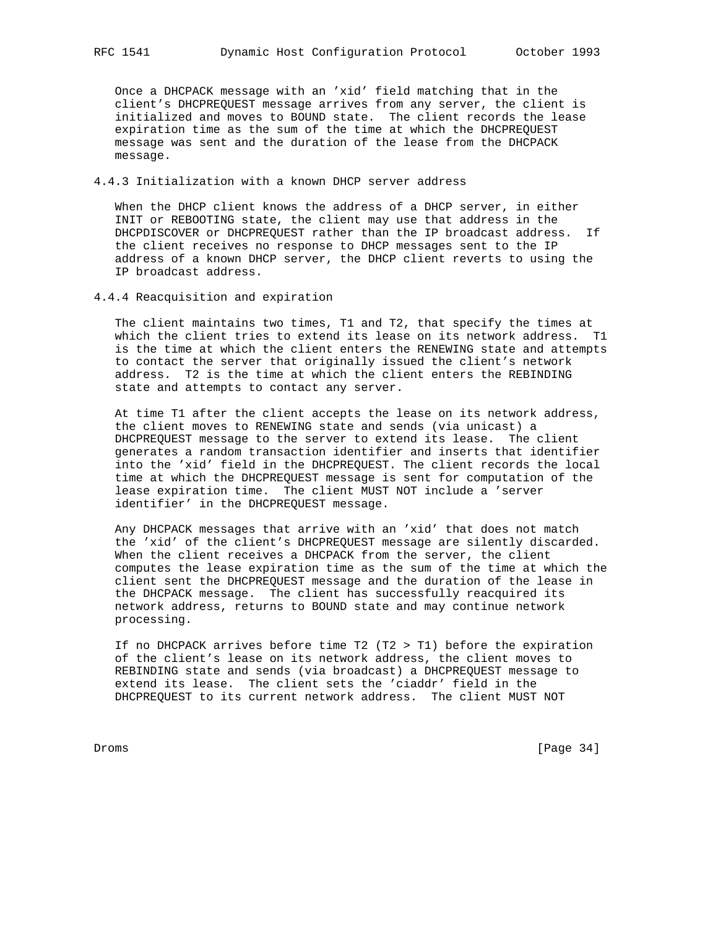Once a DHCPACK message with an 'xid' field matching that in the client's DHCPREQUEST message arrives from any server, the client is initialized and moves to BOUND state. The client records the lease expiration time as the sum of the time at which the DHCPREQUEST message was sent and the duration of the lease from the DHCPACK message.

4.4.3 Initialization with a known DHCP server address

 When the DHCP client knows the address of a DHCP server, in either INIT or REBOOTING state, the client may use that address in the DHCPDISCOVER or DHCPREQUEST rather than the IP broadcast address. If the client receives no response to DHCP messages sent to the IP address of a known DHCP server, the DHCP client reverts to using the IP broadcast address.

4.4.4 Reacquisition and expiration

 The client maintains two times, T1 and T2, that specify the times at which the client tries to extend its lease on its network address. T1 is the time at which the client enters the RENEWING state and attempts to contact the server that originally issued the client's network address. T2 is the time at which the client enters the REBINDING state and attempts to contact any server.

 At time T1 after the client accepts the lease on its network address, the client moves to RENEWING state and sends (via unicast) a DHCPREQUEST message to the server to extend its lease. The client generates a random transaction identifier and inserts that identifier into the 'xid' field in the DHCPREQUEST. The client records the local time at which the DHCPREQUEST message is sent for computation of the lease expiration time. The client MUST NOT include a 'server identifier' in the DHCPREQUEST message.

 Any DHCPACK messages that arrive with an 'xid' that does not match the 'xid' of the client's DHCPREQUEST message are silently discarded. When the client receives a DHCPACK from the server, the client computes the lease expiration time as the sum of the time at which the client sent the DHCPREQUEST message and the duration of the lease in the DHCPACK message. The client has successfully reacquired its network address, returns to BOUND state and may continue network processing.

 If no DHCPACK arrives before time T2 (T2 > T1) before the expiration of the client's lease on its network address, the client moves to REBINDING state and sends (via broadcast) a DHCPREQUEST message to extend its lease. The client sets the 'ciaddr' field in the DHCPREQUEST to its current network address. The client MUST NOT

Droms [Page 34]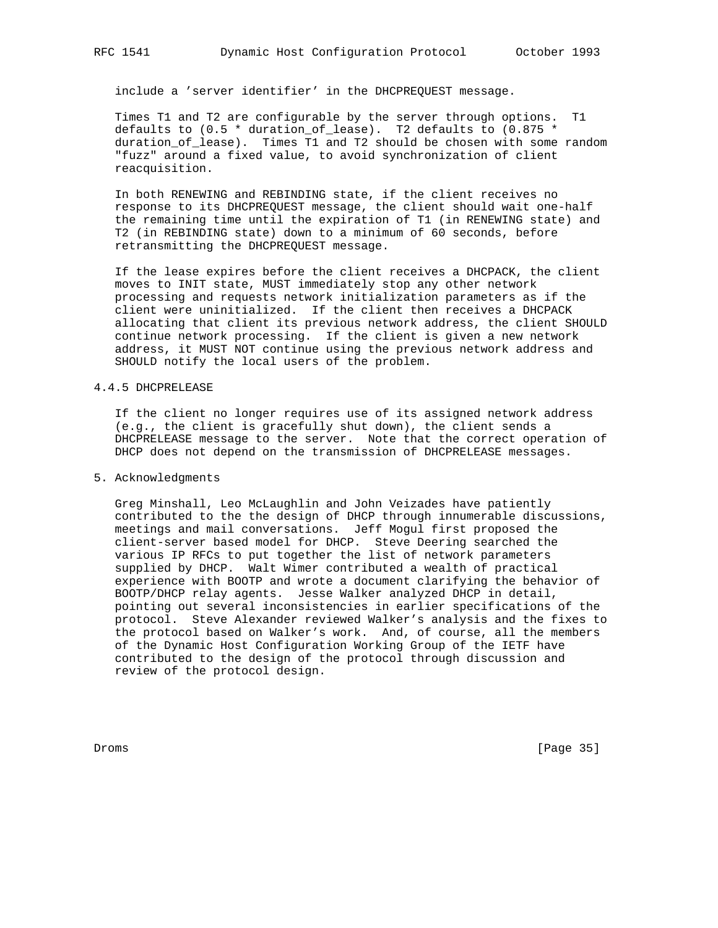include a 'server identifier' in the DHCPREQUEST message.

 Times T1 and T2 are configurable by the server through options. T1 defaults to (0.5  $*$  duration\_of\_lease). T2 defaults to (0.875  $*$  duration\_of\_lease). Times T1 and T2 should be chosen with some random "fuzz" around a fixed value, to avoid synchronization of client reacquisition.

 In both RENEWING and REBINDING state, if the client receives no response to its DHCPREQUEST message, the client should wait one-half the remaining time until the expiration of T1 (in RENEWING state) and T2 (in REBINDING state) down to a minimum of 60 seconds, before retransmitting the DHCPREQUEST message.

 If the lease expires before the client receives a DHCPACK, the client moves to INIT state, MUST immediately stop any other network processing and requests network initialization parameters as if the client were uninitialized. If the client then receives a DHCPACK allocating that client its previous network address, the client SHOULD continue network processing. If the client is given a new network address, it MUST NOT continue using the previous network address and SHOULD notify the local users of the problem.

#### 4.4.5 DHCPRELEASE

 If the client no longer requires use of its assigned network address (e.g., the client is gracefully shut down), the client sends a DHCPRELEASE message to the server. Note that the correct operation of DHCP does not depend on the transmission of DHCPRELEASE messages.

### 5. Acknowledgments

 Greg Minshall, Leo McLaughlin and John Veizades have patiently contributed to the the design of DHCP through innumerable discussions, meetings and mail conversations. Jeff Mogul first proposed the client-server based model for DHCP. Steve Deering searched the various IP RFCs to put together the list of network parameters supplied by DHCP. Walt Wimer contributed a wealth of practical experience with BOOTP and wrote a document clarifying the behavior of BOOTP/DHCP relay agents. Jesse Walker analyzed DHCP in detail, pointing out several inconsistencies in earlier specifications of the protocol. Steve Alexander reviewed Walker's analysis and the fixes to the protocol based on Walker's work. And, of course, all the members of the Dynamic Host Configuration Working Group of the IETF have contributed to the design of the protocol through discussion and review of the protocol design.

Droms [Page 35]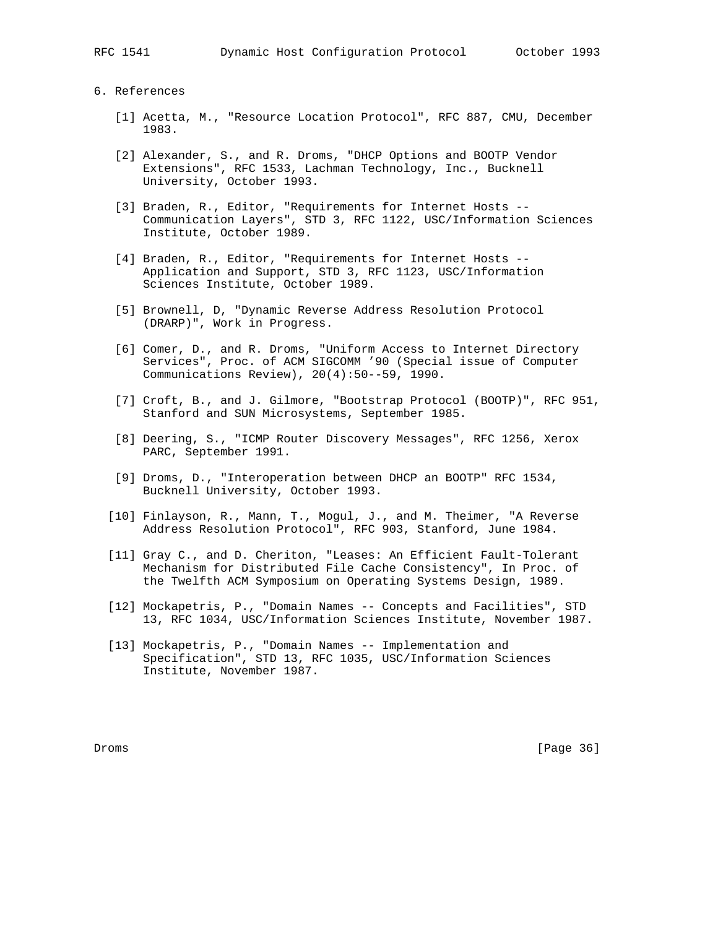6. References

- [1] Acetta, M., "Resource Location Protocol", RFC 887, CMU, December 1983.
- [2] Alexander, S., and R. Droms, "DHCP Options and BOOTP Vendor Extensions", RFC 1533, Lachman Technology, Inc., Bucknell University, October 1993.
- [3] Braden, R., Editor, "Requirements for Internet Hosts -- Communication Layers", STD 3, RFC 1122, USC/Information Sciences Institute, October 1989.
- [4] Braden, R., Editor, "Requirements for Internet Hosts -- Application and Support, STD 3, RFC 1123, USC/Information Sciences Institute, October 1989.
- [5] Brownell, D, "Dynamic Reverse Address Resolution Protocol (DRARP)", Work in Progress.
- [6] Comer, D., and R. Droms, "Uniform Access to Internet Directory Services", Proc. of ACM SIGCOMM '90 (Special issue of Computer Communications Review), 20(4):50--59, 1990.
- [7] Croft, B., and J. Gilmore, "Bootstrap Protocol (BOOTP)", RFC 951, Stanford and SUN Microsystems, September 1985.
- [8] Deering, S., "ICMP Router Discovery Messages", RFC 1256, Xerox PARC, September 1991.
- [9] Droms, D., "Interoperation between DHCP an BOOTP" RFC 1534, Bucknell University, October 1993.
- [10] Finlayson, R., Mann, T., Mogul, J., and M. Theimer, "A Reverse Address Resolution Protocol", RFC 903, Stanford, June 1984.
- [11] Gray C., and D. Cheriton, "Leases: An Efficient Fault-Tolerant Mechanism for Distributed File Cache Consistency", In Proc. of the Twelfth ACM Symposium on Operating Systems Design, 1989.
- [12] Mockapetris, P., "Domain Names -- Concepts and Facilities", STD 13, RFC 1034, USC/Information Sciences Institute, November 1987.
- [13] Mockapetris, P., "Domain Names -- Implementation and Specification", STD 13, RFC 1035, USC/Information Sciences Institute, November 1987.

Droms [Page 36]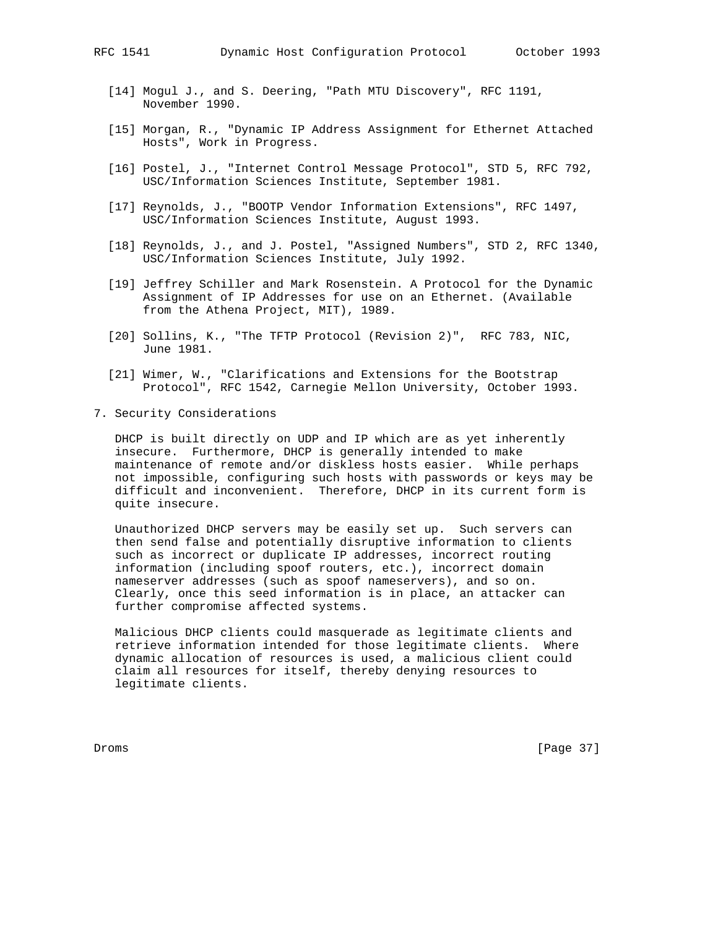- [14] Mogul J., and S. Deering, "Path MTU Discovery", RFC 1191, November 1990.
- [15] Morgan, R., "Dynamic IP Address Assignment for Ethernet Attached Hosts", Work in Progress.
- [16] Postel, J., "Internet Control Message Protocol", STD 5, RFC 792, USC/Information Sciences Institute, September 1981.
- [17] Reynolds, J., "BOOTP Vendor Information Extensions", RFC 1497, USC/Information Sciences Institute, August 1993.
- [18] Reynolds, J., and J. Postel, "Assigned Numbers", STD 2, RFC 1340, USC/Information Sciences Institute, July 1992.
- [19] Jeffrey Schiller and Mark Rosenstein. A Protocol for the Dynamic Assignment of IP Addresses for use on an Ethernet. (Available from the Athena Project, MIT), 1989.
- [20] Sollins, K., "The TFTP Protocol (Revision 2)", RFC 783, NIC, June 1981.
- [21] Wimer, W., "Clarifications and Extensions for the Bootstrap Protocol", RFC 1542, Carnegie Mellon University, October 1993.
- 7. Security Considerations

 DHCP is built directly on UDP and IP which are as yet inherently insecure. Furthermore, DHCP is generally intended to make maintenance of remote and/or diskless hosts easier. While perhaps not impossible, configuring such hosts with passwords or keys may be difficult and inconvenient. Therefore, DHCP in its current form is quite insecure.

 Unauthorized DHCP servers may be easily set up. Such servers can then send false and potentially disruptive information to clients such as incorrect or duplicate IP addresses, incorrect routing information (including spoof routers, etc.), incorrect domain nameserver addresses (such as spoof nameservers), and so on. Clearly, once this seed information is in place, an attacker can further compromise affected systems.

 Malicious DHCP clients could masquerade as legitimate clients and retrieve information intended for those legitimate clients. Where dynamic allocation of resources is used, a malicious client could claim all resources for itself, thereby denying resources to legitimate clients.

Droms [Page 37]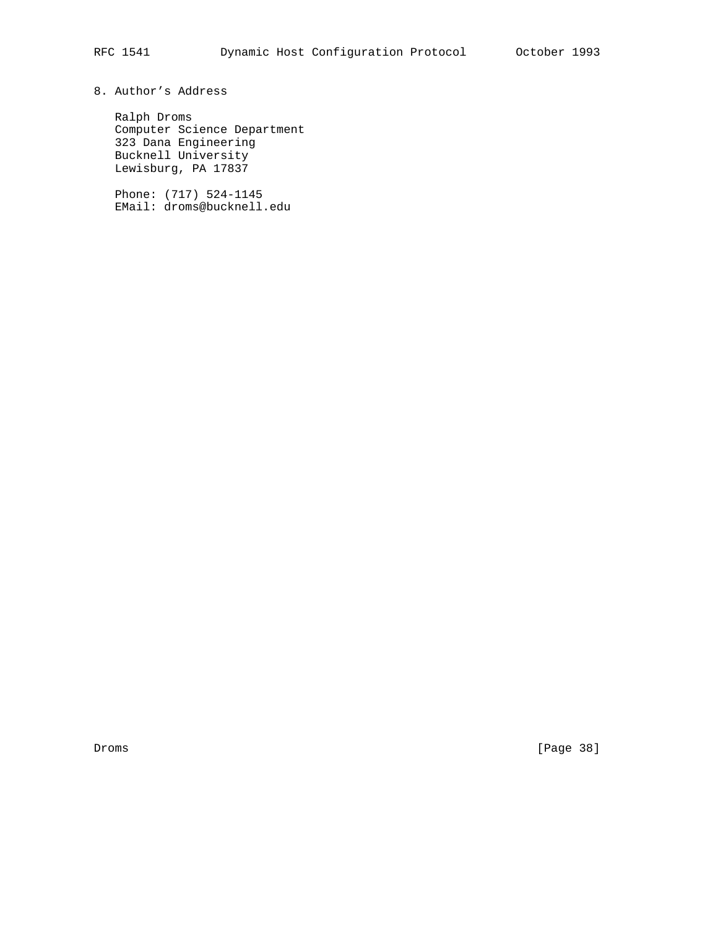# 8. Author's Address

 Ralph Droms Computer Science Department 323 Dana Engineering Bucknell University Lewisburg, PA 17837

 Phone: (717) 524-1145 EMail: droms@bucknell.edu

Droms [Page 38]